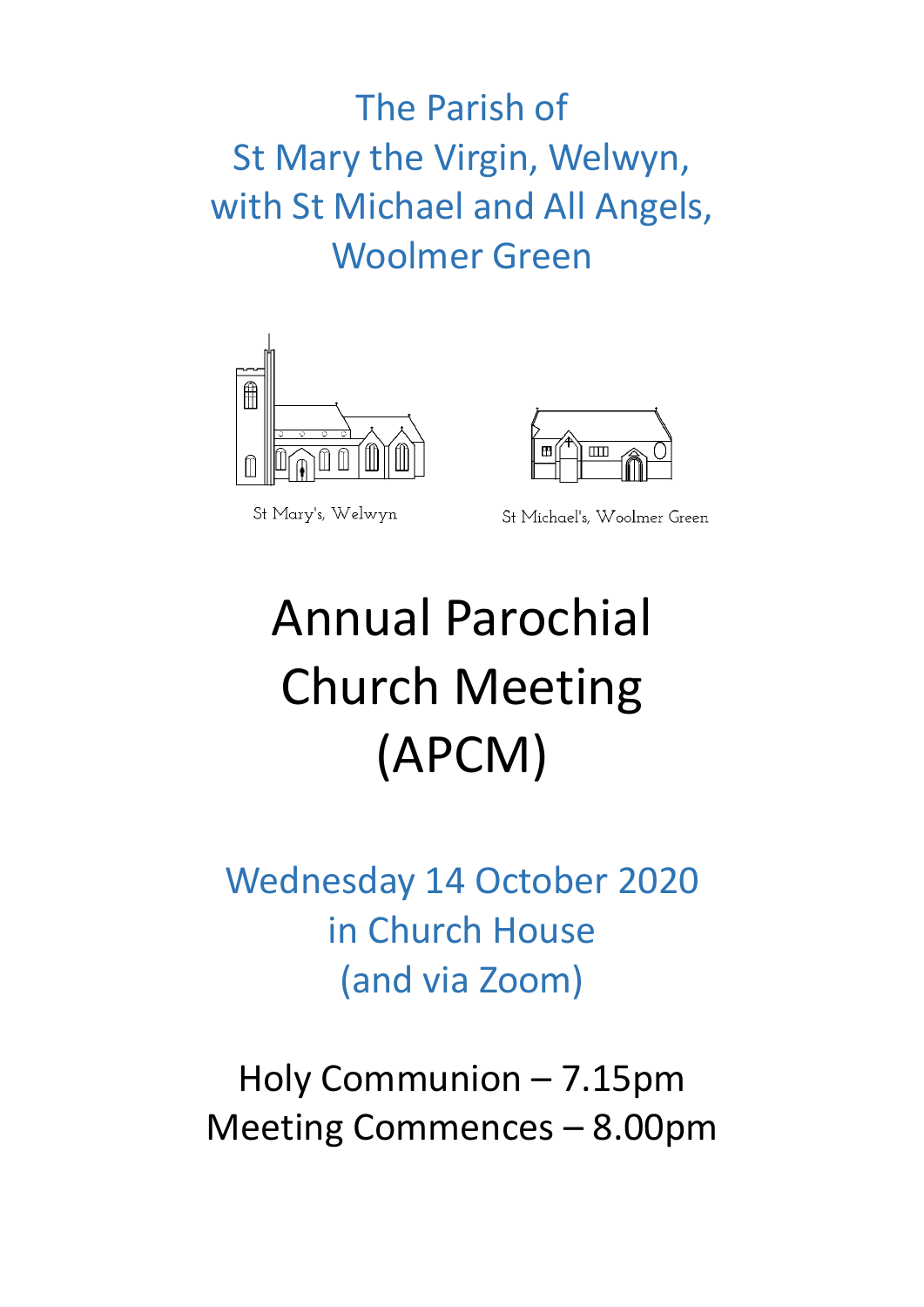The Parish of St Mary the Virgin, Welwyn, with St Michael and All Angels, Woolmer Green



St Mary's, Welwyn

St Michael's, Woolmer Green

 $\overline{\mathbf{m}}$ 

 $\mathbf{E}$ 

# Annual Parochial Church Meeting (APCM)

Wednesday 14 October 2020 in Church House (and via Zoom)

Holy Communion – 7.15pm Meeting Commences – 8.00pm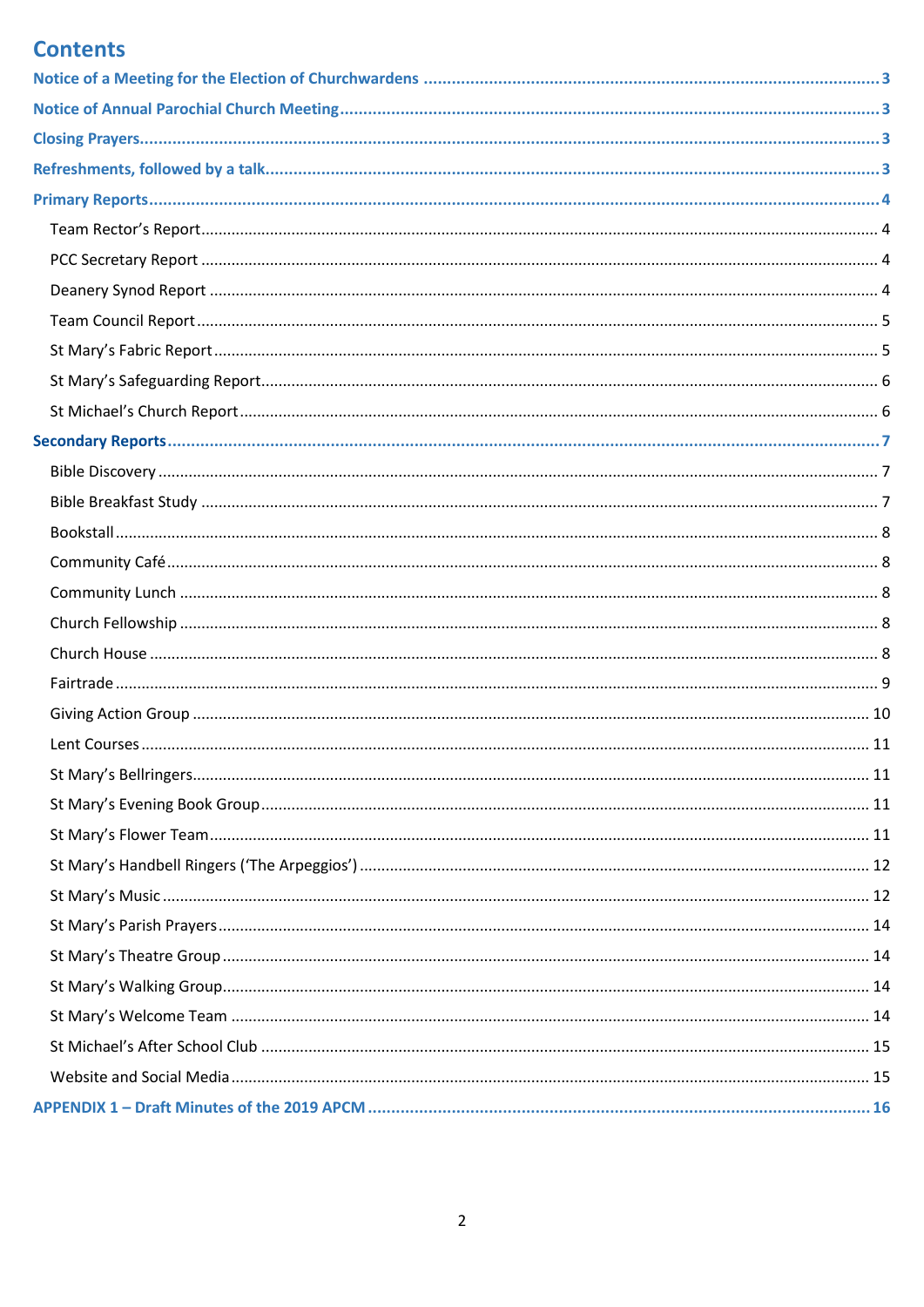# **Contents**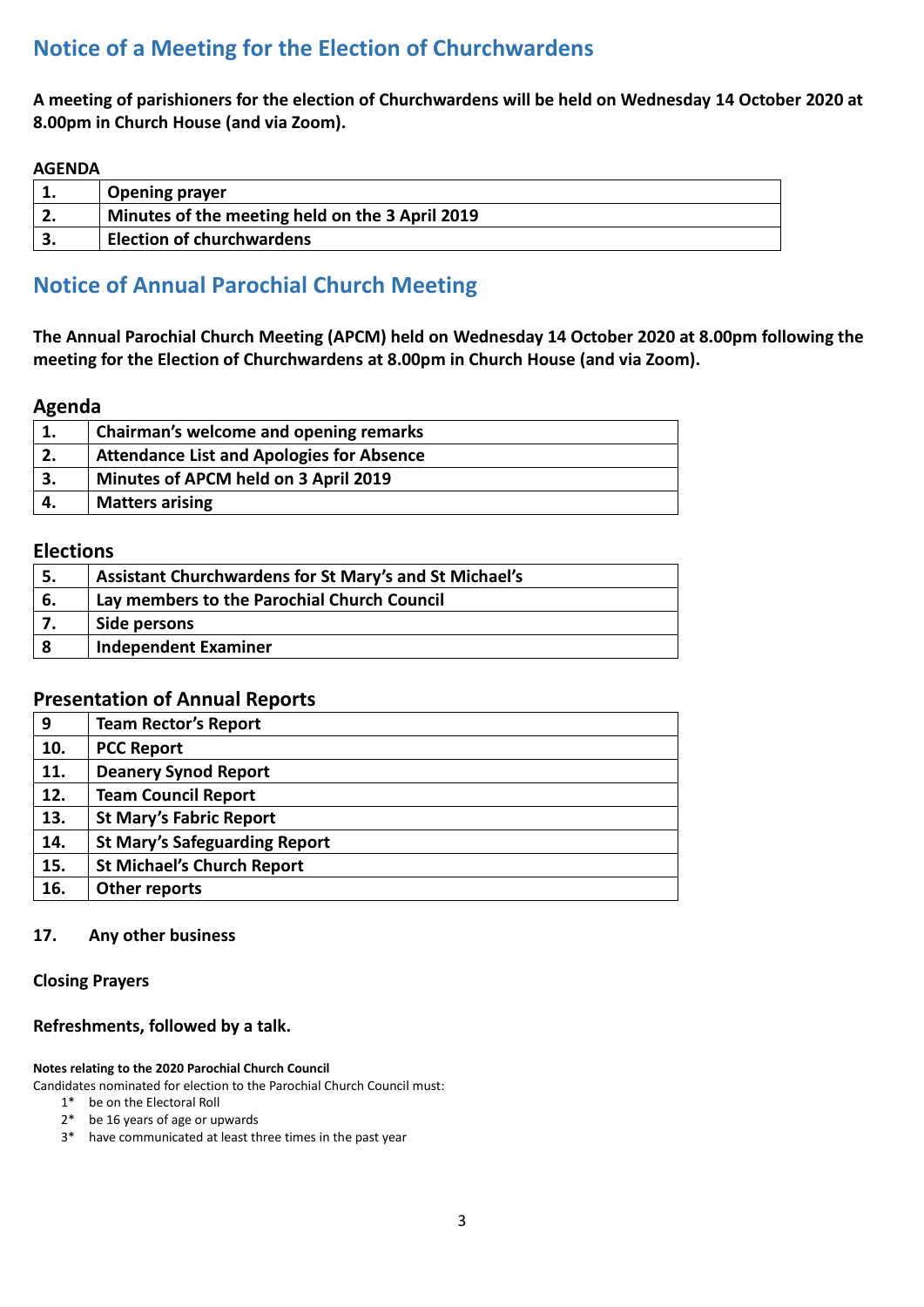# <span id="page-2-0"></span>**Notice of a Meeting for the Election of Churchwardens**

**A meeting of parishioners for the election of Churchwardens will be held on Wednesday 14 October 2020 at 8.00pm in Church House (and via Zoom).**

#### **AGENDA**

| <b>Opening prayer</b>                           |
|-------------------------------------------------|
| Minutes of the meeting held on the 3 April 2019 |
| <b>Election of churchwardens</b>                |

## <span id="page-2-1"></span>**Notice of Annual Parochial Church Meeting**

**The Annual Parochial Church Meeting (APCM) held on Wednesday 14 October 2020 at 8.00pm following the meeting for the Election of Churchwardens at 8.00pm in Church House (and via Zoom).**

#### **Agenda**

| 1. | Chairman's welcome and opening remarks           |
|----|--------------------------------------------------|
| 2. | <b>Attendance List and Apologies for Absence</b> |
| 3. | Minutes of APCM held on 3 April 2019             |
| 4. | <b>Matters arising</b>                           |

## **Elections**

| -5. | Assistant Churchwardens for St Mary's and St Michael's |
|-----|--------------------------------------------------------|
| 6.  | Lay members to the Parochial Church Council            |
|     | Side persons                                           |
| 8   | <b>Independent Examiner</b>                            |

## **Presentation of Annual Reports**

| <b>Team Rector's Report</b>          |
|--------------------------------------|
| <b>PCC Report</b>                    |
| <b>Deanery Synod Report</b>          |
| <b>Team Council Report</b>           |
| <b>St Mary's Fabric Report</b>       |
| <b>St Mary's Safeguarding Report</b> |
| <b>St Michael's Church Report</b>    |
| <b>Other reports</b>                 |
|                                      |

#### **17. Any other business**

#### <span id="page-2-2"></span>**Closing Prayers**

#### <span id="page-2-3"></span>**Refreshments, followed by a talk.**

#### **Notes relating to the 2020 Parochial Church Council**

Candidates nominated for election to the Parochial Church Council must:

- 1\* be on the Electoral Roll
- 2\* be 16 years of age or upwards
- 3\* have communicated at least three times in the past year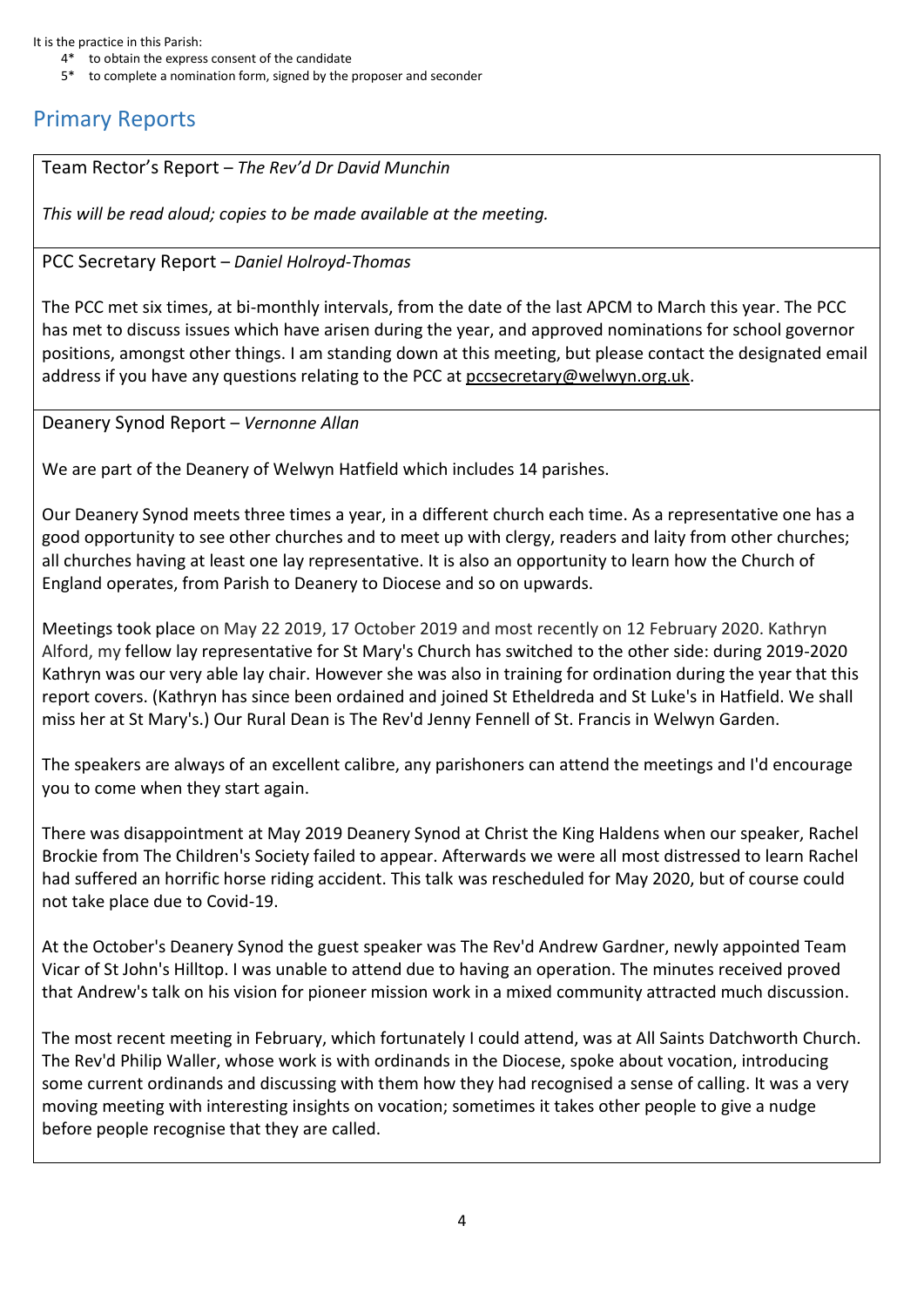It is the practice in this Parish:

- 4\* to obtain the express consent of the candidate
- 5\* to complete a nomination form, signed by the proposer and seconder

# <span id="page-3-0"></span>Primary Reports

<span id="page-3-1"></span>Team Rector's Report – *The Rev'd Dr David Munchin*

*This will be read aloud; copies to be made available at the meeting.*

#### <span id="page-3-2"></span>PCC Secretary Report – *Daniel Holroyd-Thomas*

The PCC met six times, at bi-monthly intervals, from the date of the last APCM to March this year. The PCC has met to discuss issues which have arisen during the year, and approved nominations for school governor positions, amongst other things. I am standing down at this meeting, but please contact the designated email address if you have any questions relating to the PCC at pccsecretary@welwyn.org.uk.

<span id="page-3-3"></span>Deanery Synod Report – *Vernonne Allan*

We are part of the Deanery of Welwyn Hatfield which includes 14 parishes.

Our Deanery Synod meets three times a year, in a different church each time. As a representative one has a good opportunity to see other churches and to meet up with clergy, readers and laity from other churches; all churches having at least one lay representative. It is also an opportunity to learn how the Church of England operates, from Parish to Deanery to Diocese and so on upwards.

Meetings took place on May 22 2019, 17 October 2019 and most recently on 12 February 2020. Kathryn Alford, my fellow lay representative for St Mary's Church has switched to the other side: during 2019-2020 Kathryn was our very able lay chair. However she was also in training for ordination during the year that this report covers. (Kathryn has since been ordained and joined St Etheldreda and St Luke's in Hatfield. We shall miss her at St Mary's.) Our Rural Dean is The Rev'd Jenny Fennell of St. Francis in Welwyn Garden.

The speakers are always of an excellent calibre, any parishoners can attend the meetings and I'd encourage you to come when they start again.

There was disappointment at May 2019 Deanery Synod at Christ the King Haldens when our speaker, Rachel Brockie from The Children's Society failed to appear. Afterwards we were all most distressed to learn Rachel had suffered an horrific horse riding accident. This talk was rescheduled for May 2020, but of course could not take place due to Covid-19.

At the October's Deanery Synod the guest speaker was The Rev'd Andrew Gardner, newly appointed Team Vicar of St John's Hilltop. I was unable to attend due to having an operation. The minutes received proved that Andrew's talk on his vision for pioneer mission work in a mixed community attracted much discussion.

The most recent meeting in February, which fortunately I could attend, was at All Saints Datchworth Church. The Rev'd Philip Waller, whose work is with ordinands in the Diocese, spoke about vocation, introducing some current ordinands and discussing with them how they had recognised a sense of calling. It was a very moving meeting with interesting insights on vocation; sometimes it takes other people to give a nudge before people recognise that they are called.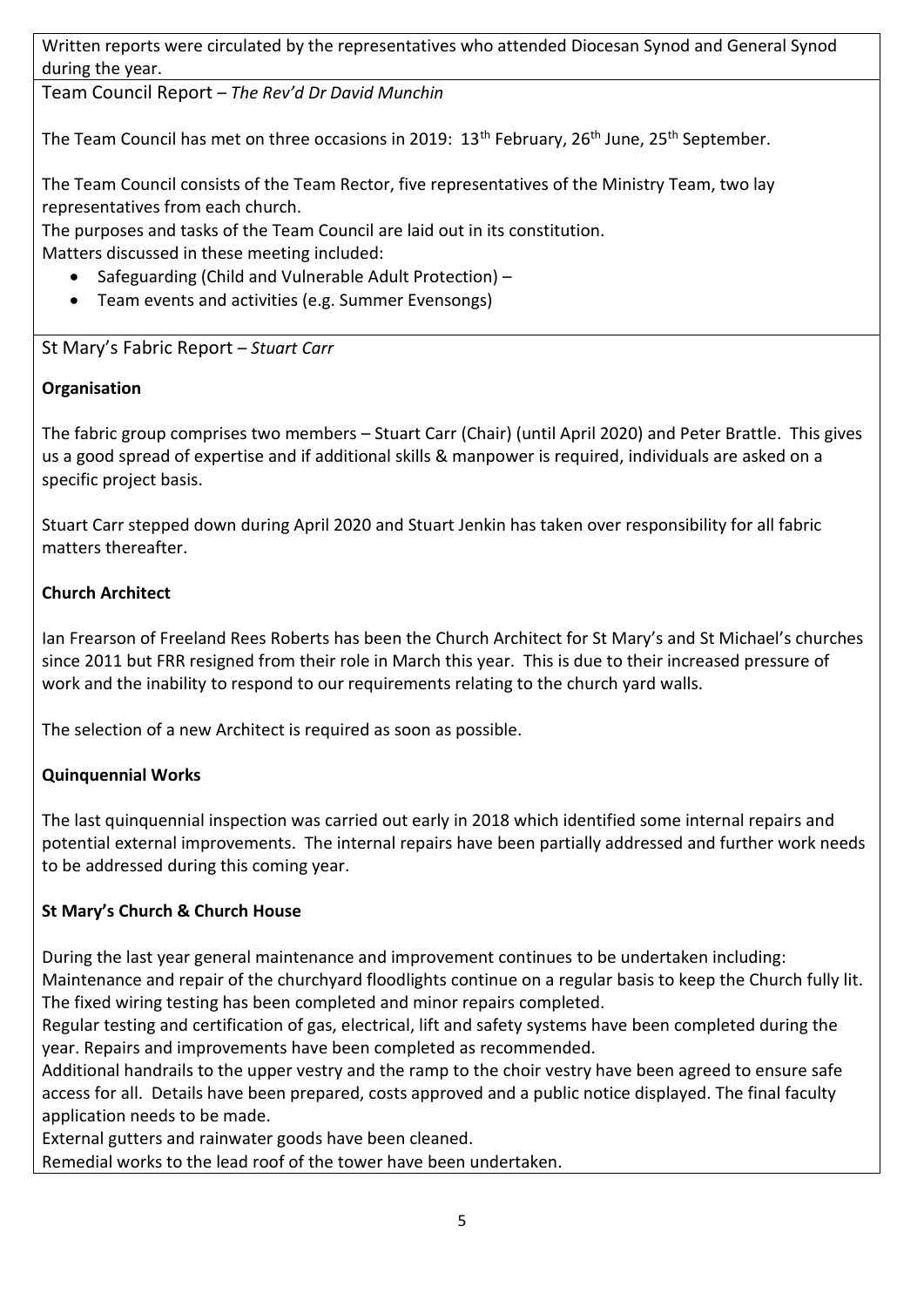Written reports were circulated by the representatives who attended Diocesan Synod and General Synod during the year.

<span id="page-4-0"></span>Team Council Report – *The Rev'd Dr David Munchin*

The Team Council has met on three occasions in 2019: 13<sup>th</sup> February, 26<sup>th</sup> June, 25<sup>th</sup> September.

The Team Council consists of the Team Rector, five representatives of the Ministry Team, two lay representatives from each church.

The purposes and tasks of the Team Council are laid out in its constitution.

Matters discussed in these meeting included:

- Safeguarding (Child and Vulnerable Adult Protection) –
- Team events and activities (e.g. Summer Evensongs)

<span id="page-4-1"></span>St Mary's Fabric Report – *Stuart Carr*

## **Organisation**

The fabric group comprises two members – Stuart Carr (Chair) (until April 2020) and Peter Brattle. This gives us a good spread of expertise and if additional skills & manpower is required, individuals are asked on a specific project basis.

Stuart Carr stepped down during April 2020 and Stuart Jenkin has taken over responsibility for all fabric matters thereafter.

## **Church Architect**

Ian Frearson of Freeland Rees Roberts has been the Church Architect for St Mary's and St Michael's churches since 2011 but FRR resigned from their role in March this year. This is due to their increased pressure of work and the inability to respond to our requirements relating to the church yard walls.

The selection of a new Architect is required as soon as possible.

## **Quinquennial Works**

The last quinquennial inspection was carried out early in 2018 which identified some internal repairs and potential external improvements. The internal repairs have been partially addressed and further work needs to be addressed during this coming year.

## **St Mary's Church & Church House**

During the last year general maintenance and improvement continues to be undertaken including: Maintenance and repair of the churchyard floodlights continue on a regular basis to keep the Church fully lit. The fixed wiring testing has been completed and minor repairs completed.

Regular testing and certification of gas, electrical, lift and safety systems have been completed during the year. Repairs and improvements have been completed as recommended.

Additional handrails to the upper vestry and the ramp to the choir vestry have been agreed to ensure safe access for all. Details have been prepared, costs approved and a public notice displayed. The final faculty application needs to be made.

External gutters and rainwater goods have been cleaned.

Remedial works to the lead roof of the tower have been undertaken.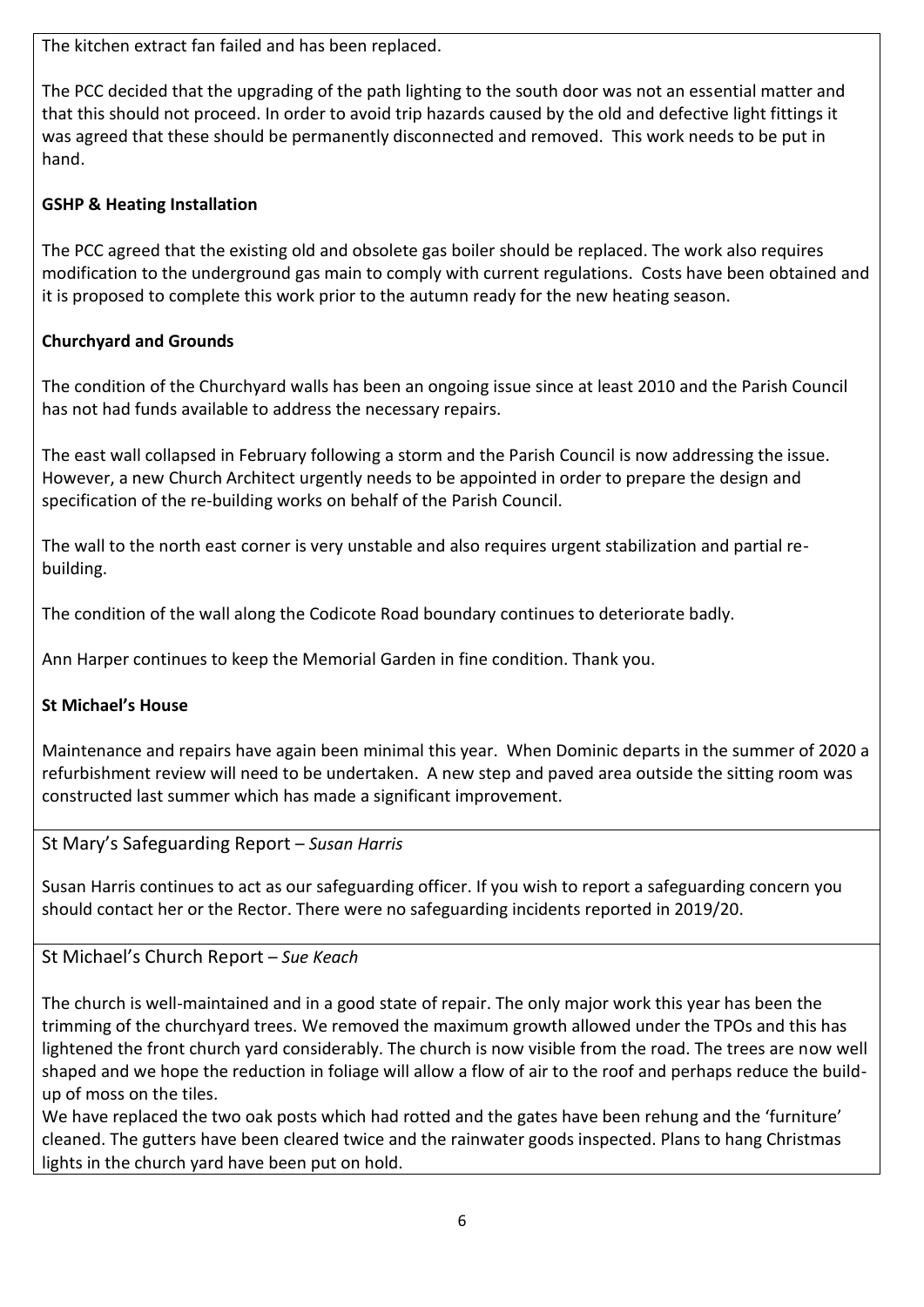The kitchen extract fan failed and has been replaced.

The PCC decided that the upgrading of the path lighting to the south door was not an essential matter and that this should not proceed. In order to avoid trip hazards caused by the old and defective light fittings it was agreed that these should be permanently disconnected and removed. This work needs to be put in hand.

## **GSHP & Heating Installation**

The PCC agreed that the existing old and obsolete gas boiler should be replaced. The work also requires modification to the underground gas main to comply with current regulations. Costs have been obtained and it is proposed to complete this work prior to the autumn ready for the new heating season.

## **Churchyard and Grounds**

The condition of the Churchyard walls has been an ongoing issue since at least 2010 and the Parish Council has not had funds available to address the necessary repairs.

The east wall collapsed in February following a storm and the Parish Council is now addressing the issue. However, a new Church Architect urgently needs to be appointed in order to prepare the design and specification of the re-building works on behalf of the Parish Council.

The wall to the north east corner is very unstable and also requires urgent stabilization and partial rebuilding.

The condition of the wall along the Codicote Road boundary continues to deteriorate badly.

Ann Harper continues to keep the Memorial Garden in fine condition. Thank you.

## **St Michael's House**

Maintenance and repairs have again been minimal this year. When Dominic departs in the summer of 2020 a refurbishment review will need to be undertaken. A new step and paved area outside the sitting room was constructed last summer which has made a significant improvement.

<span id="page-5-0"></span>St Mary's Safeguarding Report – *Susan Harris*

Susan Harris continues to act as our safeguarding officer. If you wish to report a safeguarding concern you should contact her or the Rector. There were no safeguarding incidents reported in 2019/20.

<span id="page-5-1"></span>St Michael's Church Report – *Sue Keach*

The church is well-maintained and in a good state of repair. The only major work this year has been the trimming of the churchyard trees. We removed the maximum growth allowed under the TPOs and this has lightened the front church yard considerably. The church is now visible from the road. The trees are now well shaped and we hope the reduction in foliage will allow a flow of air to the roof and perhaps reduce the buildup of moss on the tiles.

We have replaced the two oak posts which had rotted and the gates have been rehung and the 'furniture' cleaned. The gutters have been cleared twice and the rainwater goods inspected. Plans to hang Christmas lights in the church yard have been put on hold.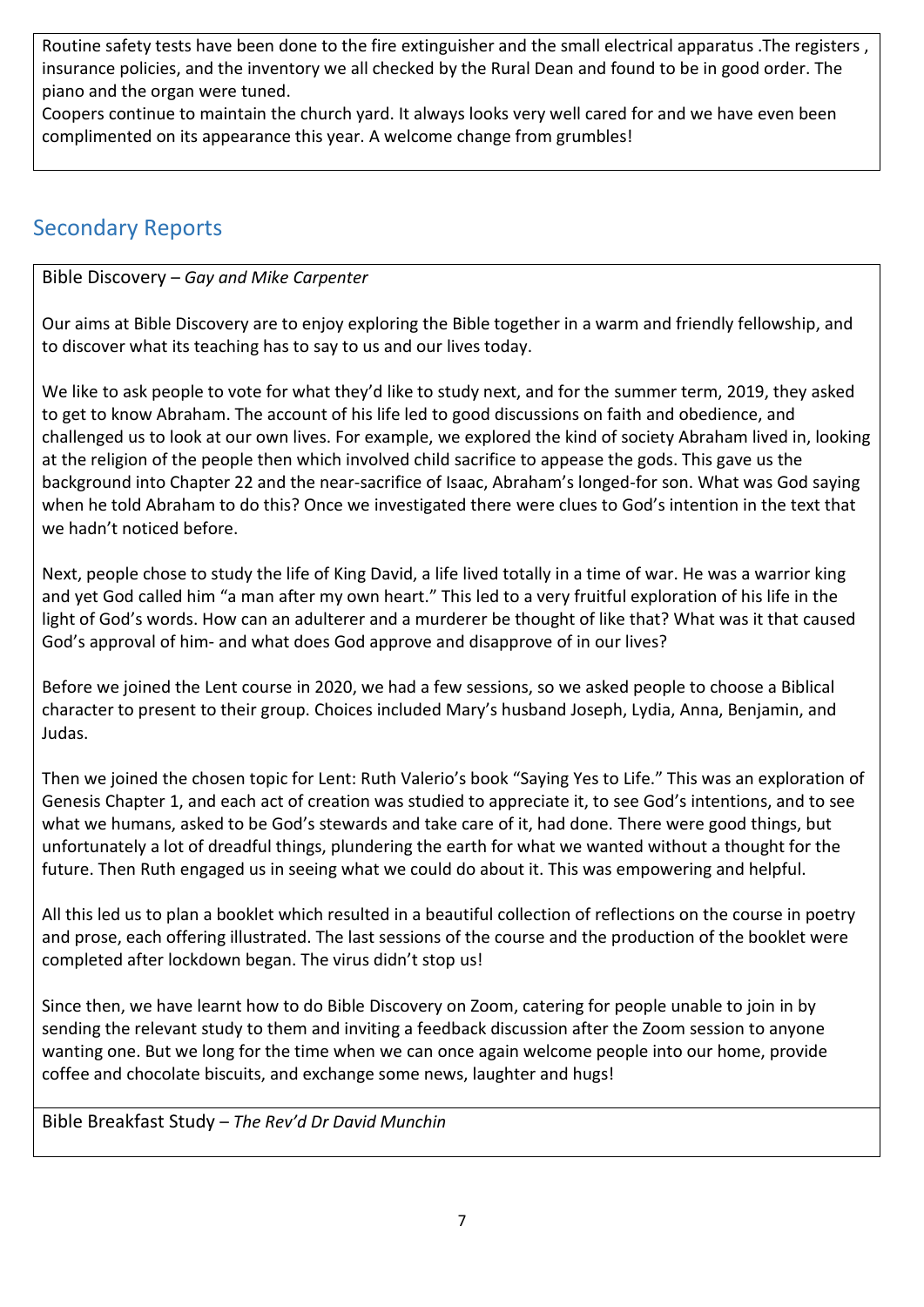Routine safety tests have been done to the fire extinguisher and the small electrical apparatus .The registers , insurance policies, and the inventory we all checked by the Rural Dean and found to be in good order. The piano and the organ were tuned.

Coopers continue to maintain the church yard. It always looks very well cared for and we have even been complimented on its appearance this year. A welcome change from grumbles!

# <span id="page-6-0"></span>Secondary Reports

<span id="page-6-1"></span>Bible Discovery – *Gay and Mike Carpenter*

Our aims at Bible Discovery are to enjoy exploring the Bible together in a warm and friendly fellowship, and to discover what its teaching has to say to us and our lives today.

We like to ask people to vote for what they'd like to study next, and for the summer term, 2019, they asked to get to know Abraham. The account of his life led to good discussions on faith and obedience, and challenged us to look at our own lives. For example, we explored the kind of society Abraham lived in, looking at the religion of the people then which involved child sacrifice to appease the gods. This gave us the background into Chapter 22 and the near-sacrifice of Isaac, Abraham's longed-for son. What was God saying when he told Abraham to do this? Once we investigated there were clues to God's intention in the text that we hadn't noticed before.

Next, people chose to study the life of King David, a life lived totally in a time of war. He was a warrior king and yet God called him "a man after my own heart." This led to a very fruitful exploration of his life in the light of God's words. How can an adulterer and a murderer be thought of like that? What was it that caused God's approval of him- and what does God approve and disapprove of in our lives?

Before we joined the Lent course in 2020, we had a few sessions, so we asked people to choose a Biblical character to present to their group. Choices included Mary's husband Joseph, Lydia, Anna, Benjamin, and Judas.

Then we joined the chosen topic for Lent: Ruth Valerio's book "Saying Yes to Life." This was an exploration of Genesis Chapter 1, and each act of creation was studied to appreciate it, to see God's intentions, and to see what we humans, asked to be God's stewards and take care of it, had done. There were good things, but unfortunately a lot of dreadful things, plundering the earth for what we wanted without a thought for the future. Then Ruth engaged us in seeing what we could do about it. This was empowering and helpful.

All this led us to plan a booklet which resulted in a beautiful collection of reflections on the course in poetry and prose, each offering illustrated. The last sessions of the course and the production of the booklet were completed after lockdown began. The virus didn't stop us!

Since then, we have learnt how to do Bible Discovery on Zoom, catering for people unable to join in by sending the relevant study to them and inviting a feedback discussion after the Zoom session to anyone wanting one. But we long for the time when we can once again welcome people into our home, provide coffee and chocolate biscuits, and exchange some news, laughter and hugs!

<span id="page-6-2"></span>Bible Breakfast Study – *The Rev'd Dr David Munchin*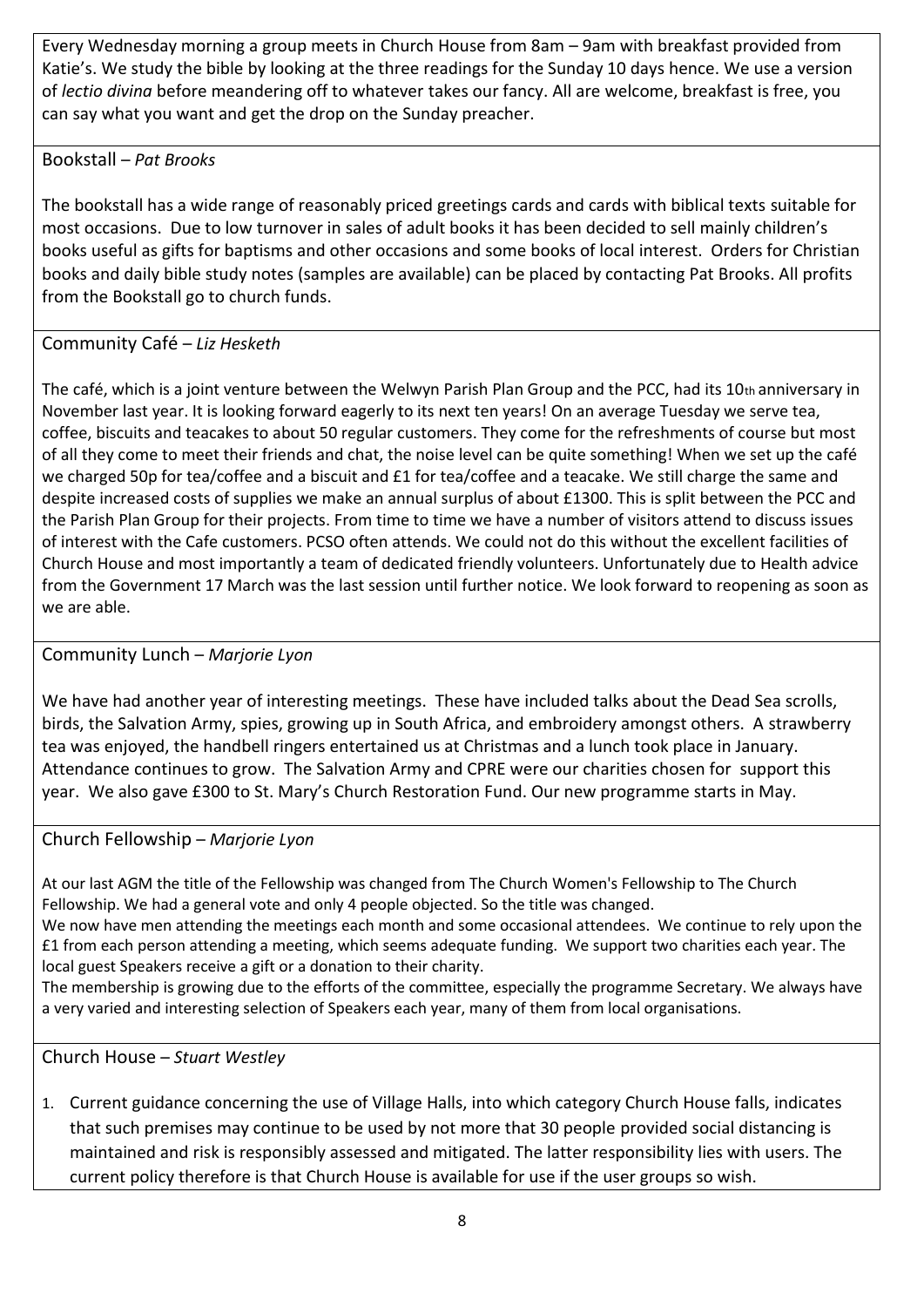Every Wednesday morning a group meets in Church House from 8am – 9am with breakfast provided from Katie's. We study the bible by looking at the three readings for the Sunday 10 days hence. We use a version of *lectio divina* before meandering off to whatever takes our fancy. All are welcome, breakfast is free, you can say what you want and get the drop on the Sunday preacher.

## <span id="page-7-0"></span>Bookstall – *Pat Brooks*

The bookstall has a wide range of reasonably priced greetings cards and cards with biblical texts suitable for most occasions. Due to low turnover in sales of adult books it has been decided to sell mainly children's books useful as gifts for baptisms and other occasions and some books of local interest. Orders for Christian books and daily bible study notes (samples are available) can be placed by contacting Pat Brooks. All profits from the Bookstall go to church funds.

## <span id="page-7-1"></span>Community Café – *Liz Hesketh*

The café, which is a joint venture between the Welwyn Parish Plan Group and the PCC, had its 10th anniversary in November last year. It is looking forward eagerly to its next ten years! On an average Tuesday we serve tea, coffee, biscuits and teacakes to about 50 regular customers. They come for the refreshments of course but most of all they come to meet their friends and chat, the noise level can be quite something! When we set up the café we charged 50p for tea/coffee and a biscuit and £1 for tea/coffee and a teacake. We still charge the same and despite increased costs of supplies we make an annual surplus of about £1300. This is split between the PCC and the Parish Plan Group for their projects. From time to time we have a number of visitors attend to discuss issues of interest with the Cafe customers. PCSO often attends. We could not do this without the excellent facilities of Church House and most importantly a team of dedicated friendly volunteers. Unfortunately due to Health advice from the Government 17 March was the last session until further notice. We look forward to reopening as soon as we are able.

## <span id="page-7-2"></span>Community Lunch – *Marjorie Lyon*

We have had another year of interesting meetings. These have included talks about the Dead Sea scrolls, birds, the Salvation Army, spies, growing up in South Africa, and embroidery amongst others. A strawberry tea was enjoyed, the handbell ringers entertained us at Christmas and a lunch took place in January. Attendance continues to grow. The Salvation Army and CPRE were our charities chosen for support this year. We also gave £300 to St. Mary's Church Restoration Fund. Our new programme starts in May.

## <span id="page-7-3"></span>Church Fellowship – *Marjorie Lyon*

At our last AGM the title of the Fellowship was changed from The Church Women's Fellowship to The Church Fellowship. We had a general vote and only 4 people objected. So the title was changed.

We now have men attending the meetings each month and some occasional attendees. We continue to rely upon the £1 from each person attending a meeting, which seems adequate funding. We support two charities each year. The local guest Speakers receive a gift or a donation to their charity.

The membership is growing due to the efforts of the committee, especially the programme Secretary. We always have a very varied and interesting selection of Speakers each year, many of them from local organisations.

<span id="page-7-4"></span>Church House – *Stuart Westley*

1. Current guidance concerning the use of Village Halls, into which category Church House falls, indicates that such premises may continue to be used by not more that 30 people provided social distancing is maintained and risk is responsibly assessed and mitigated. The latter responsibility lies with users. The current policy therefore is that Church House is available for use if the user groups so wish.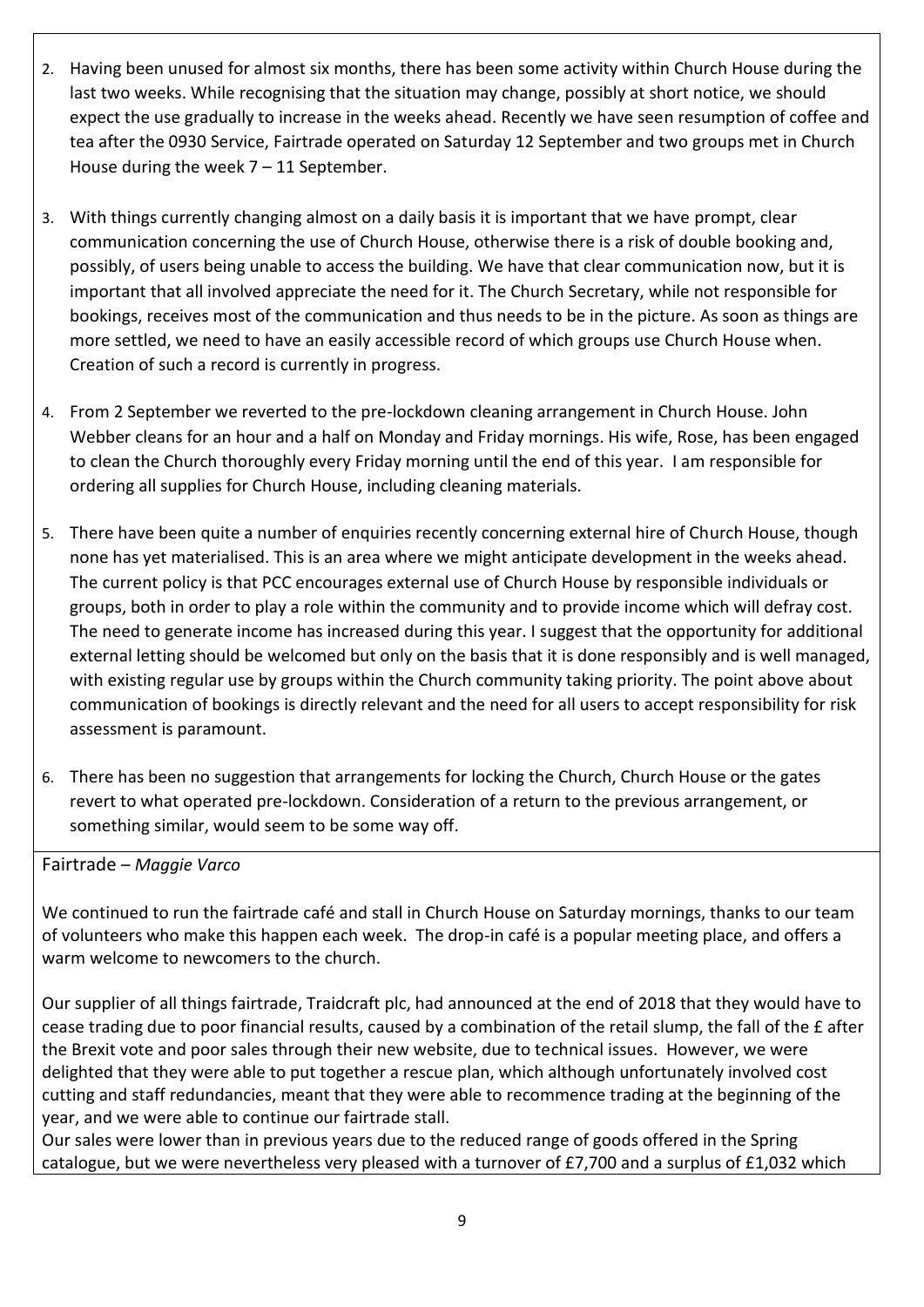- 2. Having been unused for almost six months, there has been some activity within Church House during the last two weeks. While recognising that the situation may change, possibly at short notice, we should expect the use gradually to increase in the weeks ahead. Recently we have seen resumption of coffee and tea after the 0930 Service, Fairtrade operated on Saturday 12 September and two groups met in Church House during the week  $7 - 11$  September.
- 3. With things currently changing almost on a daily basis it is important that we have prompt, clear communication concerning the use of Church House, otherwise there is a risk of double booking and, possibly, of users being unable to access the building. We have that clear communication now, but it is important that all involved appreciate the need for it. The Church Secretary, while not responsible for bookings, receives most of the communication and thus needs to be in the picture. As soon as things are more settled, we need to have an easily accessible record of which groups use Church House when. Creation of such a record is currently in progress.
- 4. From 2 September we reverted to the pre-lockdown cleaning arrangement in Church House. John Webber cleans for an hour and a half on Monday and Friday mornings. His wife, Rose, has been engaged to clean the Church thoroughly every Friday morning until the end of this year. I am responsible for ordering all supplies for Church House, including cleaning materials.
- 5. There have been quite a number of enquiries recently concerning external hire of Church House, though none has yet materialised. This is an area where we might anticipate development in the weeks ahead. The current policy is that PCC encourages external use of Church House by responsible individuals or groups, both in order to play a role within the community and to provide income which will defray cost. The need to generate income has increased during this year. I suggest that the opportunity for additional external letting should be welcomed but only on the basis that it is done responsibly and is well managed, with existing regular use by groups within the Church community taking priority. The point above about communication of bookings is directly relevant and the need for all users to accept responsibility for risk assessment is paramount.
- 6. There has been no suggestion that arrangements for locking the Church, Church House or the gates revert to what operated pre-lockdown. Consideration of a return to the previous arrangement, or something similar, would seem to be some way off.

<span id="page-8-0"></span>Fairtrade – *Maggie Varco*

We continued to run the fairtrade café and stall in Church House on Saturday mornings, thanks to our team of volunteers who make this happen each week. The drop-in café is a popular meeting place, and offers a warm welcome to newcomers to the church.

Our supplier of all things fairtrade, Traidcraft plc, had announced at the end of 2018 that they would have to cease trading due to poor financial results, caused by a combination of the retail slump, the fall of the £ after the Brexit vote and poor sales through their new website, due to technical issues. However, we were delighted that they were able to put together a rescue plan, which although unfortunately involved cost cutting and staff redundancies, meant that they were able to recommence trading at the beginning of the year, and we were able to continue our fairtrade stall.

Our sales were lower than in previous years due to the reduced range of goods offered in the Spring catalogue, but we were nevertheless very pleased with a turnover of £7,700 and a surplus of £1,032 which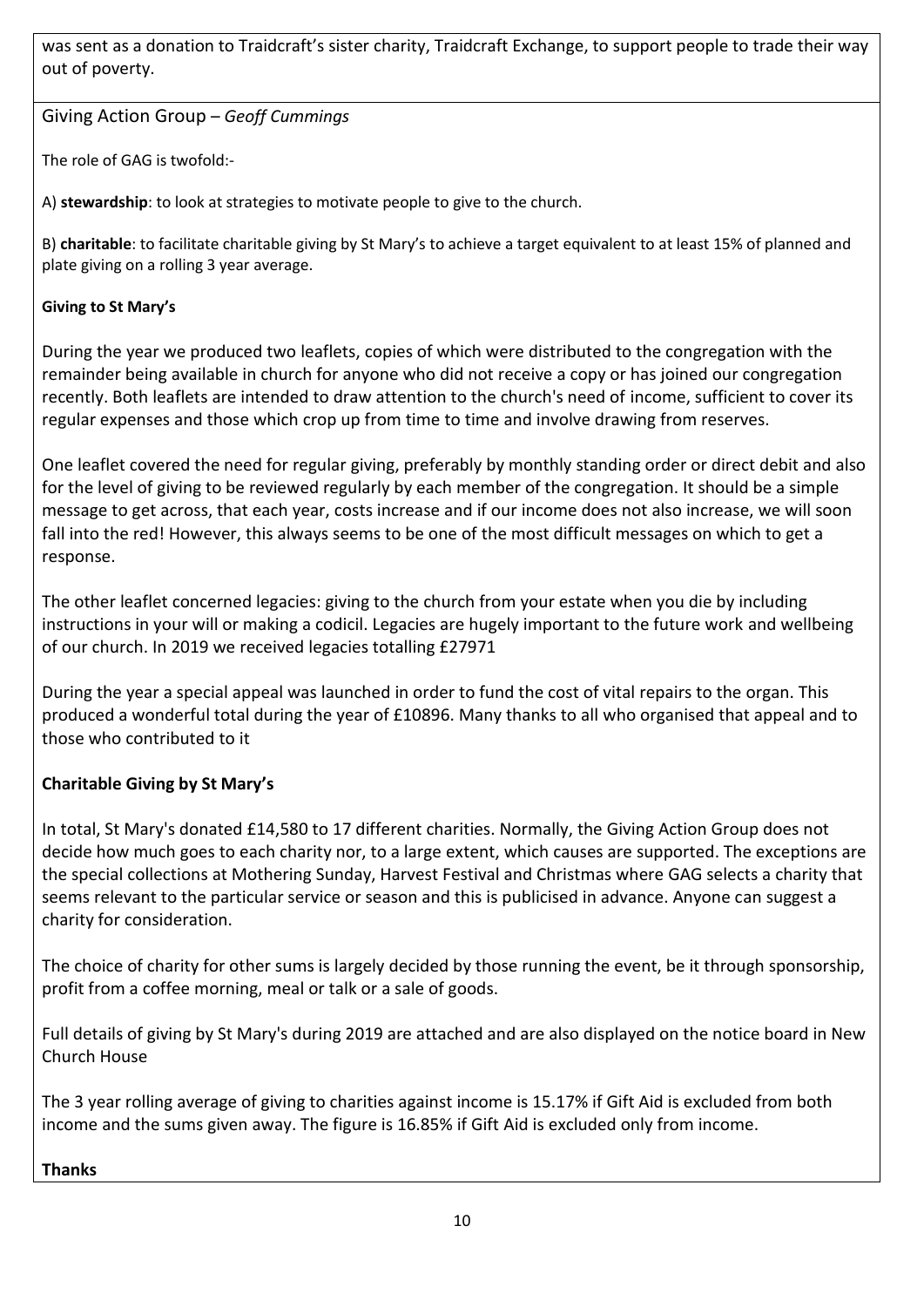was sent as a donation to Traidcraft's sister charity, Traidcraft Exchange, to support people to trade their way out of poverty.

<span id="page-9-0"></span>Giving Action Group – *Geoff Cummings*

The role of GAG is twofold:-

A) **stewardship**: to look at strategies to motivate people to give to the church.

B) **charitable**: to facilitate charitable giving by St Mary's to achieve a target equivalent to at least 15% of planned and plate giving on a rolling 3 year average.

## **Giving to St Mary's**

During the year we produced two leaflets, copies of which were distributed to the congregation with the remainder being available in church for anyone who did not receive a copy or has joined our congregation recently. Both leaflets are intended to draw attention to the church's need of income, sufficient to cover its regular expenses and those which crop up from time to time and involve drawing from reserves.

One leaflet covered the need for regular giving, preferably by monthly standing order or direct debit and also for the level of giving to be reviewed regularly by each member of the congregation. It should be a simple message to get across, that each year, costs increase and if our income does not also increase, we will soon fall into the red! However, this always seems to be one of the most difficult messages on which to get a response.

The other leaflet concerned legacies: giving to the church from your estate when you die by including instructions in your will or making a codicil. Legacies are hugely important to the future work and wellbeing of our church. In 2019 we received legacies totalling £27971

During the year a special appeal was launched in order to fund the cost of vital repairs to the organ. This produced a wonderful total during the year of £10896. Many thanks to all who organised that appeal and to those who contributed to it

## **Charitable Giving by St Mary's**

In total, St Mary's donated £14,580 to 17 different charities. Normally, the Giving Action Group does not decide how much goes to each charity nor, to a large extent, which causes are supported. The exceptions are the special collections at Mothering Sunday, Harvest Festival and Christmas where GAG selects a charity that seems relevant to the particular service or season and this is publicised in advance. Anyone can suggest a charity for consideration.

The choice of charity for other sums is largely decided by those running the event, be it through sponsorship, profit from a coffee morning, meal or talk or a sale of goods.

Full details of giving by St Mary's during 2019 are attached and are also displayed on the notice board in New Church House

The 3 year rolling average of giving to charities against income is 15.17% if Gift Aid is excluded from both income and the sums given away. The figure is 16.85% if Gift Aid is excluded only from income.

## **Thanks**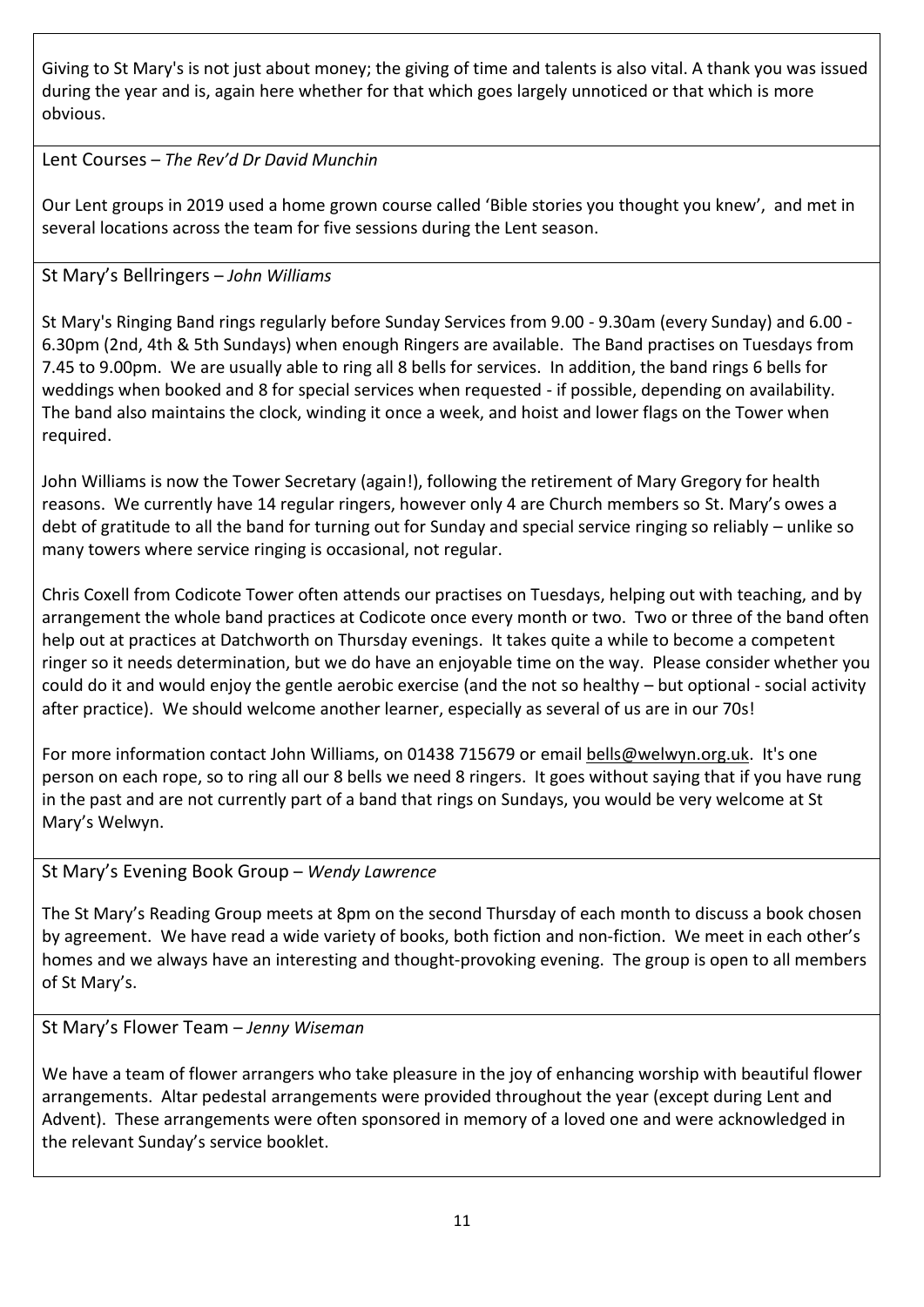Giving to St Mary's is not just about money; the giving of time and talents is also vital. A thank you was issued during the year and is, again here whether for that which goes largely unnoticed or that which is more obvious.

## <span id="page-10-0"></span>Lent Courses – *The Rev'd Dr David Munchin*

Our Lent groups in 2019 used a home grown course called 'Bible stories you thought you knew', and met in several locations across the team for five sessions during the Lent season.

## <span id="page-10-1"></span>St Mary's Bellringers – *John Williams*

St Mary's Ringing Band rings regularly before Sunday Services from 9.00 - 9.30am (every Sunday) and 6.00 - 6.30pm (2nd, 4th & 5th Sundays) when enough Ringers are available. The Band practises on Tuesdays from 7.45 to 9.00pm. We are usually able to ring all 8 bells for services. In addition, the band rings 6 bells for weddings when booked and 8 for special services when requested - if possible, depending on availability. The band also maintains the clock, winding it once a week, and hoist and lower flags on the Tower when required.

John Williams is now the Tower Secretary (again!), following the retirement of Mary Gregory for health reasons. We currently have 14 regular ringers, however only 4 are Church members so St. Mary's owes a debt of gratitude to all the band for turning out for Sunday and special service ringing so reliably – unlike so many towers where service ringing is occasional, not regular.

Chris Coxell from Codicote Tower often attends our practises on Tuesdays, helping out with teaching, and by arrangement the whole band practices at Codicote once every month or two. Two or three of the band often help out at practices at Datchworth on Thursday evenings. It takes quite a while to become a competent ringer so it needs determination, but we do have an enjoyable time on the way. Please consider whether you could do it and would enjoy the gentle aerobic exercise (and the not so healthy – but optional - social activity after practice). We should welcome another learner, especially as several of us are in our 70s!

For more information contact John Williams, on 01438 715679 or email [bells@welwyn.org.uk.](mailto:bells@welwyn.org.uk) It's one person on each rope, so to ring all our 8 bells we need 8 ringers. It goes without saying that if you have rung in the past and are not currently part of a band that rings on Sundays, you would be very welcome at St Mary's Welwyn.

## <span id="page-10-2"></span>St Mary's Evening Book Group – *Wendy Lawrence*

The St Mary's Reading Group meets at 8pm on the second Thursday of each month to discuss a book chosen by agreement. We have read a wide variety of books, both fiction and non-fiction. We meet in each other's homes and we always have an interesting and thought-provoking evening. The group is open to all members of St Mary's.

## <span id="page-10-3"></span>St Mary's Flower Team – *Jenny Wiseman*

We have a team of flower arrangers who take pleasure in the joy of enhancing worship with beautiful flower arrangements. Altar pedestal arrangements were provided throughout the year (except during Lent and Advent). These arrangements were often sponsored in memory of a loved one and were acknowledged in the relevant Sunday's service booklet.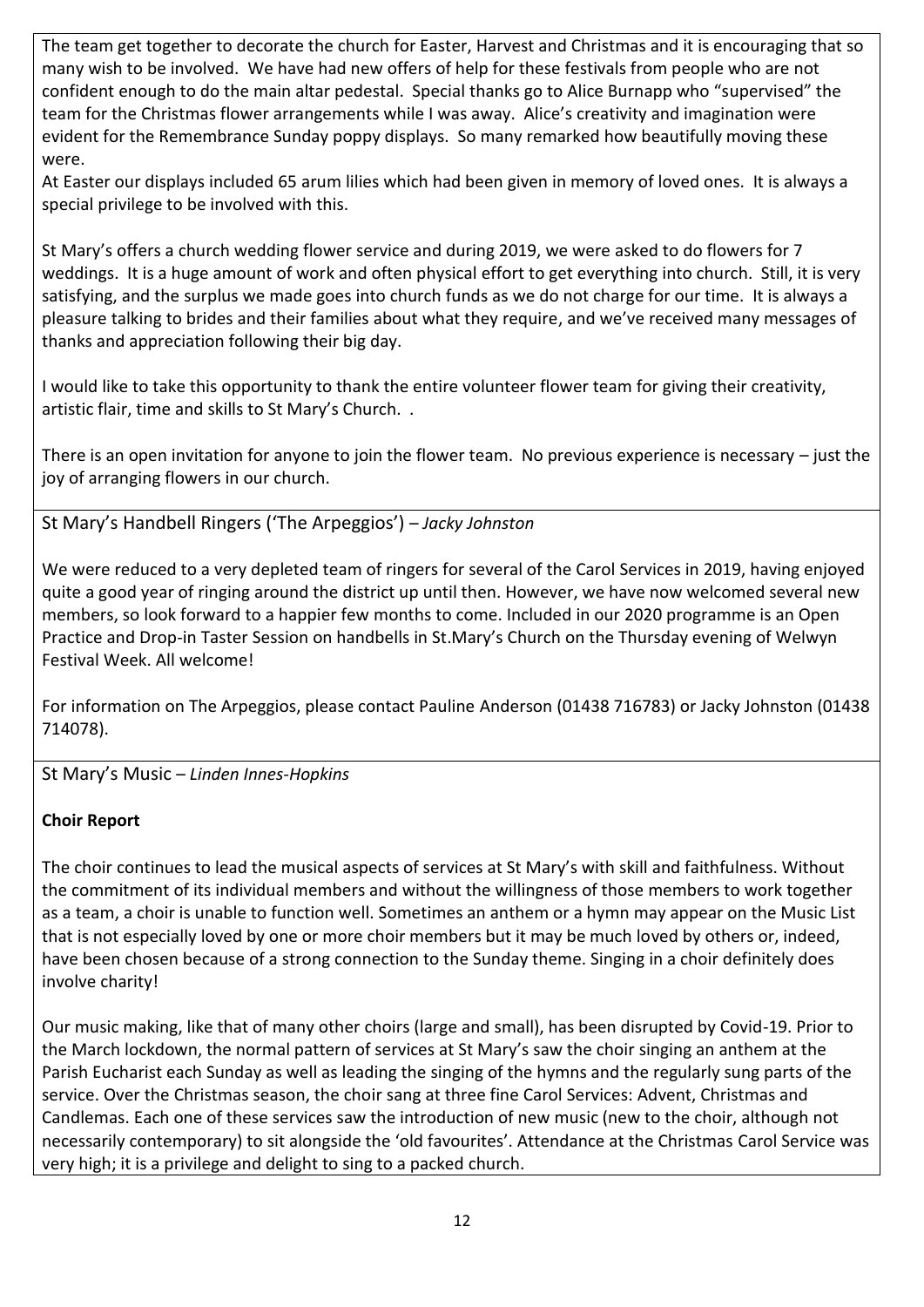The team get together to decorate the church for Easter, Harvest and Christmas and it is encouraging that so many wish to be involved. We have had new offers of help for these festivals from people who are not confident enough to do the main altar pedestal. Special thanks go to Alice Burnapp who "supervised" the team for the Christmas flower arrangements while I was away. Alice's creativity and imagination were evident for the Remembrance Sunday poppy displays. So many remarked how beautifully moving these were.

At Easter our displays included 65 arum lilies which had been given in memory of loved ones. It is always a special privilege to be involved with this.

St Mary's offers a church wedding flower service and during 2019, we were asked to do flowers for 7 weddings. It is a huge amount of work and often physical effort to get everything into church. Still, it is very satisfying, and the surplus we made goes into church funds as we do not charge for our time. It is always a pleasure talking to brides and their families about what they require, and we've received many messages of thanks and appreciation following their big day.

I would like to take this opportunity to thank the entire volunteer flower team for giving their creativity, artistic flair, time and skills to St Mary's Church. .

There is an open invitation for anyone to join the flower team. No previous experience is necessary – just the joy of arranging flowers in our church.

<span id="page-11-0"></span>St Mary's Handbell Ringers ('The Arpeggios') – *Jacky Johnston*

We were reduced to a very depleted team of ringers for several of the Carol Services in 2019, having enjoyed quite a good year of ringing around the district up until then. However, we have now welcomed several new members, so look forward to a happier few months to come. Included in our 2020 programme is an Open Practice and Drop-in Taster Session on handbells in St.Mary's Church on the Thursday evening of Welwyn Festival Week. All welcome!

For information on The Arpeggios, please contact Pauline Anderson (01438 716783) or Jacky Johnston (01438 714078).

<span id="page-11-1"></span>St Mary's Music – *Linden Innes-Hopkins*

## **Choir Report**

The choir continues to lead the musical aspects of services at St Mary's with skill and faithfulness. Without the commitment of its individual members and without the willingness of those members to work together as a team, a choir is unable to function well. Sometimes an anthem or a hymn may appear on the Music List that is not especially loved by one or more choir members but it may be much loved by others or, indeed, have been chosen because of a strong connection to the Sunday theme. Singing in a choir definitely does involve charity!

Our music making, like that of many other choirs (large and small), has been disrupted by Covid-19. Prior to the March lockdown, the normal pattern of services at St Mary's saw the choir singing an anthem at the Parish Eucharist each Sunday as well as leading the singing of the hymns and the regularly sung parts of the service. Over the Christmas season, the choir sang at three fine Carol Services: Advent, Christmas and Candlemas. Each one of these services saw the introduction of new music (new to the choir, although not necessarily contemporary) to sit alongside the 'old favourites'. Attendance at the Christmas Carol Service was very high; it is a privilege and delight to sing to a packed church.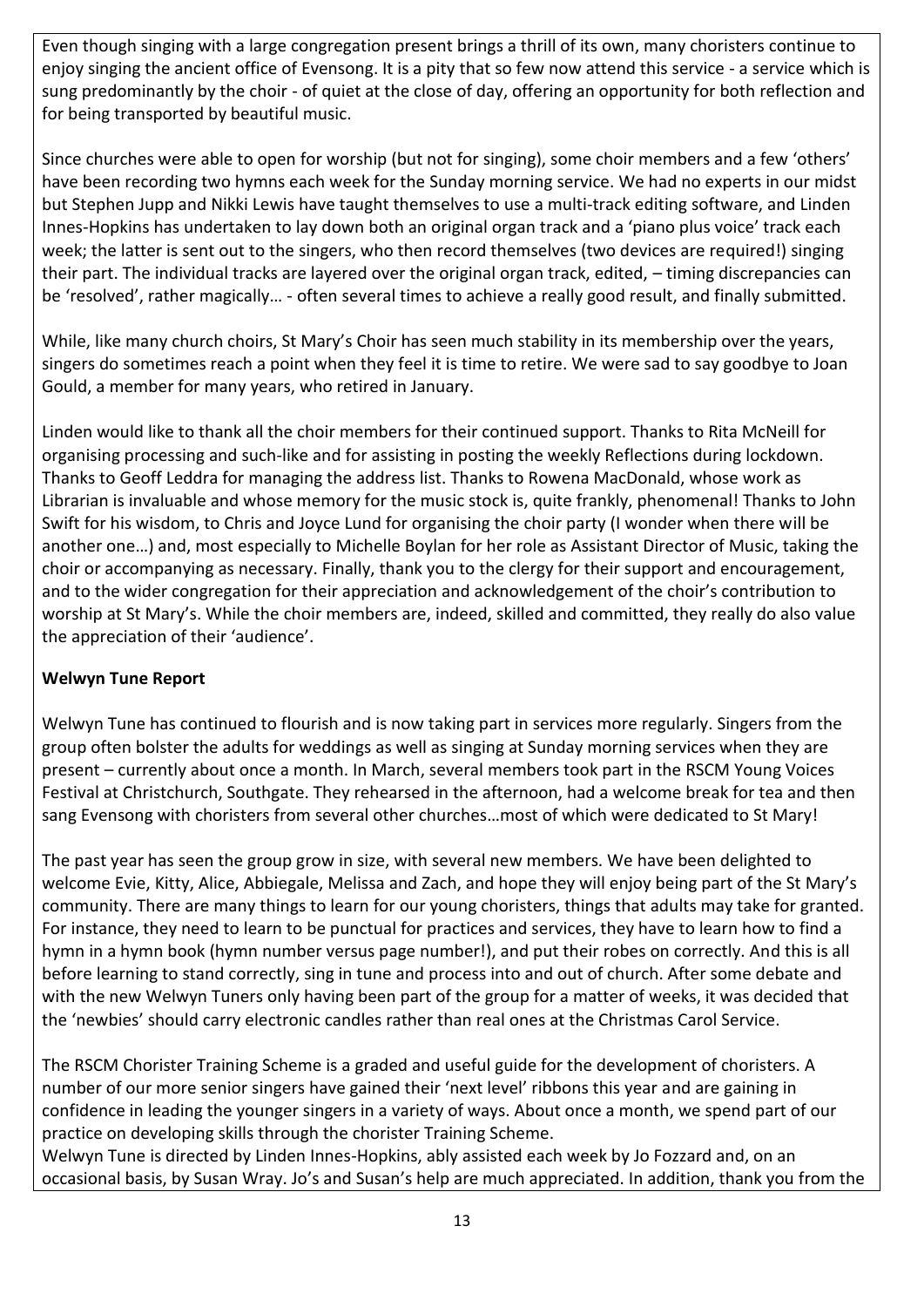Even though singing with a large congregation present brings a thrill of its own, many choristers continue to enjoy singing the ancient office of Evensong. It is a pity that so few now attend this service - a service which is sung predominantly by the choir - of quiet at the close of day, offering an opportunity for both reflection and for being transported by beautiful music.

Since churches were able to open for worship (but not for singing), some choir members and a few 'others' have been recording two hymns each week for the Sunday morning service. We had no experts in our midst but Stephen Jupp and Nikki Lewis have taught themselves to use a multi-track editing software, and Linden Innes-Hopkins has undertaken to lay down both an original organ track and a 'piano plus voice' track each week; the latter is sent out to the singers, who then record themselves (two devices are required!) singing their part. The individual tracks are layered over the original organ track, edited, – timing discrepancies can be 'resolved', rather magically… - often several times to achieve a really good result, and finally submitted.

While, like many church choirs, St Mary's Choir has seen much stability in its membership over the years, singers do sometimes reach a point when they feel it is time to retire. We were sad to say goodbye to Joan Gould, a member for many years, who retired in January.

Linden would like to thank all the choir members for their continued support. Thanks to Rita McNeill for organising processing and such-like and for assisting in posting the weekly Reflections during lockdown. Thanks to Geoff Leddra for managing the address list. Thanks to Rowena MacDonald, whose work as Librarian is invaluable and whose memory for the music stock is, quite frankly, phenomenal! Thanks to John Swift for his wisdom, to Chris and Joyce Lund for organising the choir party (I wonder when there will be another one…) and, most especially to Michelle Boylan for her role as Assistant Director of Music, taking the choir or accompanying as necessary. Finally, thank you to the clergy for their support and encouragement, and to the wider congregation for their appreciation and acknowledgement of the choir's contribution to worship at St Mary's. While the choir members are, indeed, skilled and committed, they really do also value the appreciation of their 'audience'.

## **Welwyn Tune Report**

Welwyn Tune has continued to flourish and is now taking part in services more regularly. Singers from the group often bolster the adults for weddings as well as singing at Sunday morning services when they are present – currently about once a month. In March, several members took part in the RSCM Young Voices Festival at Christchurch, Southgate. They rehearsed in the afternoon, had a welcome break for tea and then sang Evensong with choristers from several other churches…most of which were dedicated to St Mary!

The past year has seen the group grow in size, with several new members. We have been delighted to welcome Evie, Kitty, Alice, Abbiegale, Melissa and Zach, and hope they will enjoy being part of the St Mary's community. There are many things to learn for our young choristers, things that adults may take for granted. For instance, they need to learn to be punctual for practices and services, they have to learn how to find a hymn in a hymn book (hymn number versus page number!), and put their robes on correctly. And this is all before learning to stand correctly, sing in tune and process into and out of church. After some debate and with the new Welwyn Tuners only having been part of the group for a matter of weeks, it was decided that the 'newbies' should carry electronic candles rather than real ones at the Christmas Carol Service.

The RSCM Chorister Training Scheme is a graded and useful guide for the development of choristers. A number of our more senior singers have gained their 'next level' ribbons this year and are gaining in confidence in leading the younger singers in a variety of ways. About once a month, we spend part of our practice on developing skills through the chorister Training Scheme.

Welwyn Tune is directed by Linden Innes-Hopkins, ably assisted each week by Jo Fozzard and, on an occasional basis, by Susan Wray. Jo's and Susan's help are much appreciated. In addition, thank you from the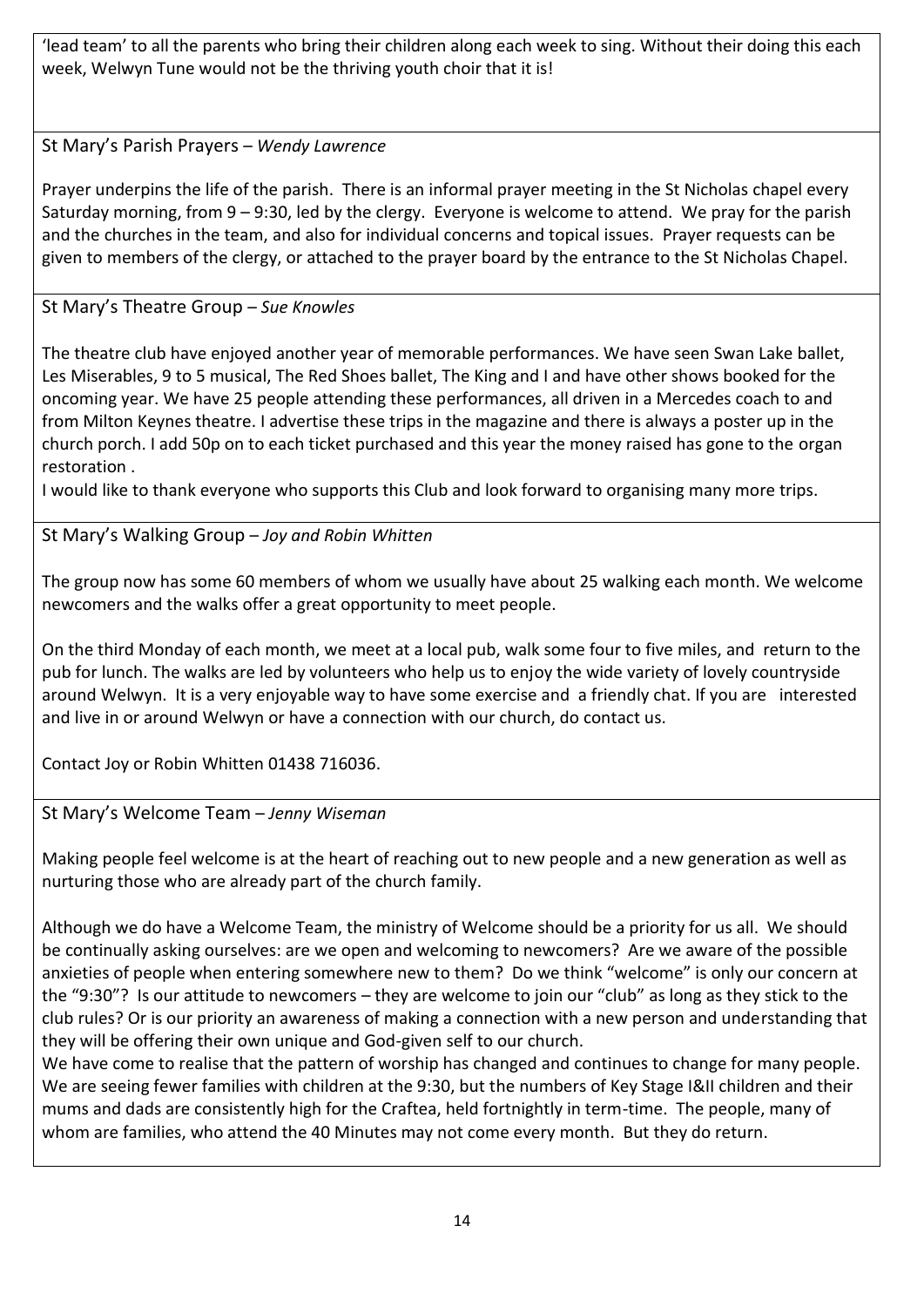'lead team' to all the parents who bring their children along each week to sing. Without their doing this each week, Welwyn Tune would not be the thriving youth choir that it is!

<span id="page-13-0"></span>St Mary's Parish Prayers – *Wendy Lawrence*

Prayer underpins the life of the parish. There is an informal prayer meeting in the St Nicholas chapel every Saturday morning, from 9 – 9:30, led by the clergy. Everyone is welcome to attend. We pray for the parish and the churches in the team, and also for individual concerns and topical issues. Prayer requests can be given to members of the clergy, or attached to the prayer board by the entrance to the St Nicholas Chapel.

## <span id="page-13-1"></span>St Mary's Theatre Group – *Sue Knowles*

The theatre club have enjoyed another year of memorable performances. We have seen Swan Lake ballet, Les Miserables, 9 to 5 musical, The Red Shoes ballet, The King and I and have other shows booked for the oncoming year. We have 25 people attending these performances, all driven in a Mercedes coach to and from Milton Keynes theatre. I advertise these trips in the magazine and there is always a poster up in the church porch. I add 50p on to each ticket purchased and this year the money raised has gone to the organ restoration .

I would like to thank everyone who supports this Club and look forward to organising many more trips.

<span id="page-13-2"></span>St Mary's Walking Group – *Joy and Robin Whitten*

The group now has some 60 members of whom we usually have about 25 walking each month. We welcome newcomers and the walks offer a great opportunity to meet people.

On the third Monday of each month, we meet at a local pub, walk some four to five miles, and return to the pub for lunch. The walks are led by volunteers who help us to enjoy the wide variety of lovely countryside around Welwyn. It is a very enjoyable way to have some exercise and a friendly chat. If you are interested and live in or around Welwyn or have a connection with our church, do contact us.

Contact Joy or Robin Whitten 01438 716036.

<span id="page-13-3"></span>St Mary's Welcome Team – *Jenny Wiseman*

Making people feel welcome is at the heart of reaching out to new people and a new generation as well as nurturing those who are already part of the church family.

Although we do have a Welcome Team, the ministry of Welcome should be a priority for us all. We should be continually asking ourselves: are we open and welcoming to newcomers? Are we aware of the possible anxieties of people when entering somewhere new to them? Do we think "welcome" is only our concern at the "9:30"? Is our attitude to newcomers – they are welcome to join our "club" as long as they stick to the club rules? Or is our priority an awareness of making a connection with a new person and understanding that they will be offering their own unique and God-given self to our church.

We have come to realise that the pattern of worship has changed and continues to change for many people. We are seeing fewer families with children at the 9:30, but the numbers of Key Stage I&II children and their mums and dads are consistently high for the Craftea, held fortnightly in term-time. The people, many of whom are families, who attend the 40 Minutes may not come every month. But they do return.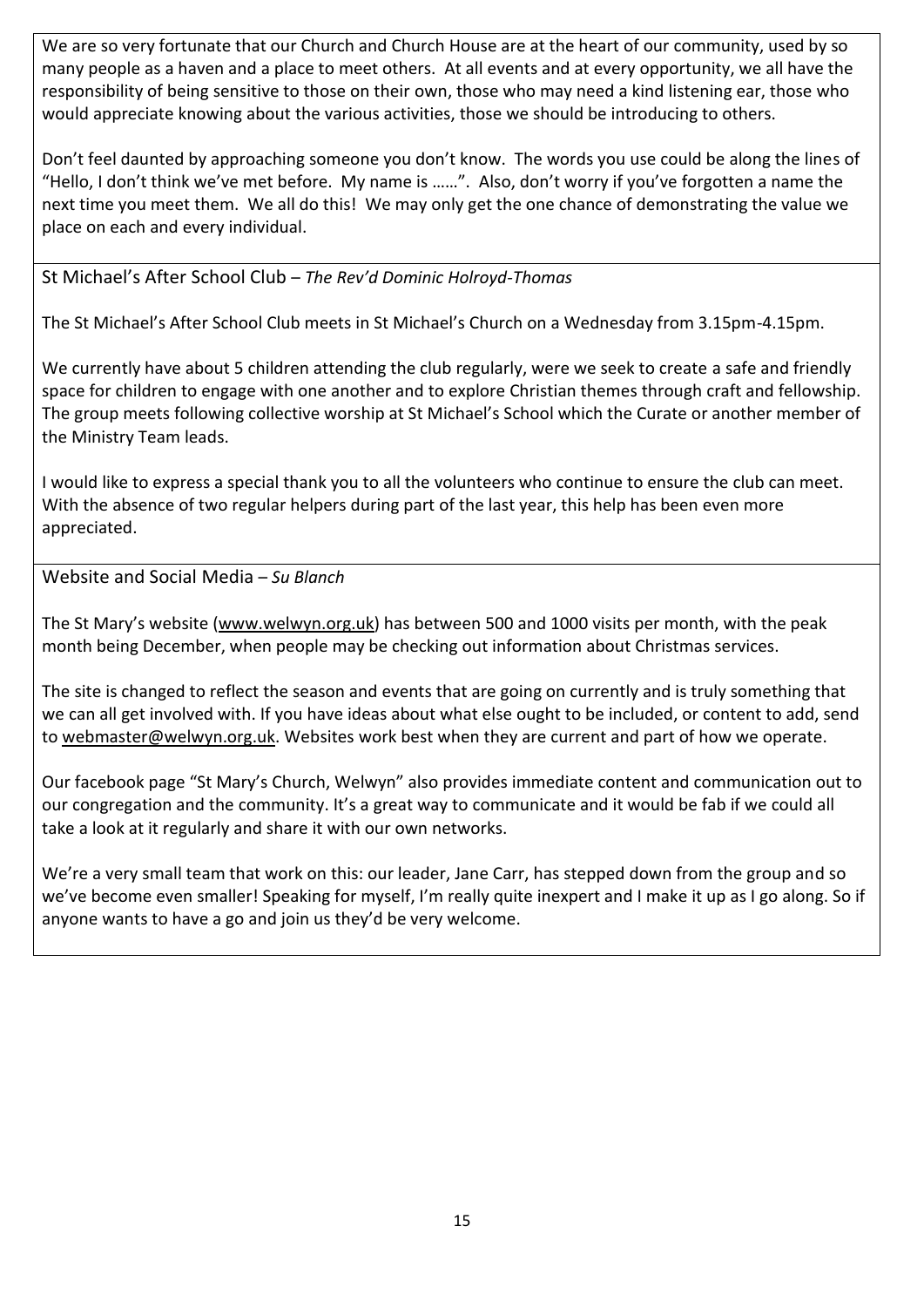We are so very fortunate that our Church and Church House are at the heart of our community, used by so many people as a haven and a place to meet others. At all events and at every opportunity, we all have the responsibility of being sensitive to those on their own, those who may need a kind listening ear, those who would appreciate knowing about the various activities, those we should be introducing to others.

Don't feel daunted by approaching someone you don't know. The words you use could be along the lines of "Hello, I don't think we've met before. My name is ……". Also, don't worry if you've forgotten a name the next time you meet them. We all do this! We may only get the one chance of demonstrating the value we place on each and every individual.

<span id="page-14-0"></span>St Michael's After School Club – *The Rev'd Dominic Holroyd-Thomas*

The St Michael's After School Club meets in St Michael's Church on a Wednesday from 3.15pm-4.15pm.

We currently have about 5 children attending the club regularly, were we seek to create a safe and friendly space for children to engage with one another and to explore Christian themes through craft and fellowship. The group meets following collective worship at St Michael's School which the Curate or another member of the Ministry Team leads.

I would like to express a special thank you to all the volunteers who continue to ensure the club can meet. With the absence of two regular helpers during part of the last year, this help has been even more appreciated.

<span id="page-14-1"></span>Website and Social Media – *Su Blanch*

The St Mary's website ([www.welwyn.org.uk\)](http://www.welwyn.org.uk/) has between 500 and 1000 visits per month, with the peak month being December, when people may be checking out information about Christmas services.

The site is changed to reflect the season and events that are going on currently and is truly something that we can all get involved with. If you have ideas about what else ought to be included, or content to add, send to [webmaster@welwyn.org.uk.](mailto:webmaster@welwyn.org.uk) Websites work best when they are current and part of how we operate.

Our facebook page "St Mary's Church, Welwyn" also provides immediate content and communication out to our congregation and the community. It's a great way to communicate and it would be fab if we could all take a look at it regularly and share it with our own networks.

We're a very small team that work on this: our leader, Jane Carr, has stepped down from the group and so we've become even smaller! Speaking for myself, I'm really quite inexpert and I make it up as I go along. So if anyone wants to have a go and join us they'd be very welcome.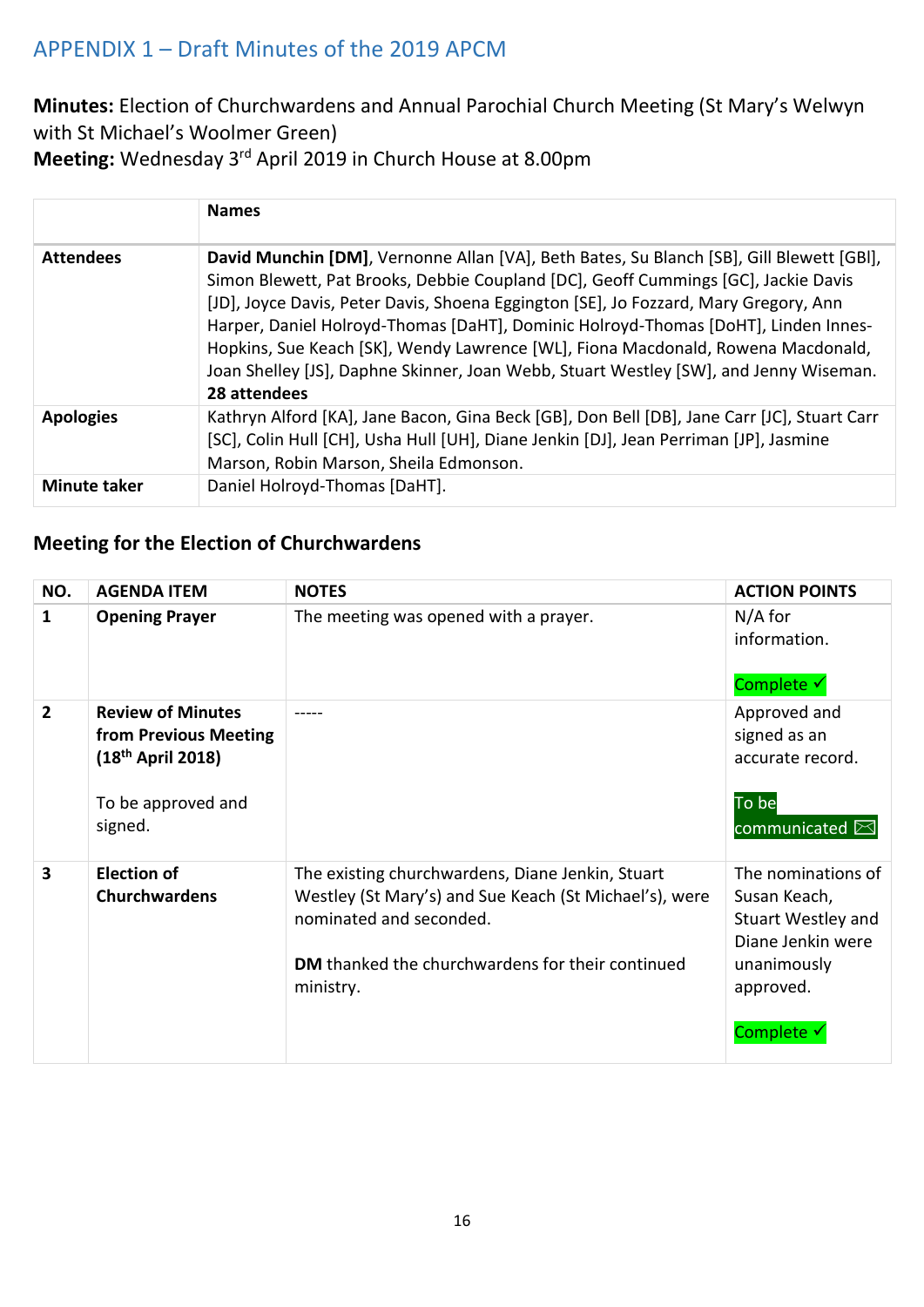# <span id="page-15-0"></span>APPENDIX 1 – Draft Minutes of the 2019 APCM

**Minutes:** Election of Churchwardens and Annual Parochial Church Meeting (St Mary's Welwyn with St Michael's Woolmer Green)

**Meeting:** Wednesday 3rd April 2019 in Church House at 8.00pm

|                     | <b>Names</b>                                                                                                                                                                                                                                                                                                                                                                                                                                                                                                                                              |
|---------------------|-----------------------------------------------------------------------------------------------------------------------------------------------------------------------------------------------------------------------------------------------------------------------------------------------------------------------------------------------------------------------------------------------------------------------------------------------------------------------------------------------------------------------------------------------------------|
| <b>Attendees</b>    | David Munchin [DM], Vernonne Allan [VA], Beth Bates, Su Blanch [SB], Gill Blewett [GBI],<br>Simon Blewett, Pat Brooks, Debbie Coupland [DC], Geoff Cummings [GC], Jackie Davis<br>[JD], Joyce Davis, Peter Davis, Shoena Eggington [SE], Jo Fozzard, Mary Gregory, Ann<br>Harper, Daniel Holroyd-Thomas [DaHT], Dominic Holroyd-Thomas [DoHT], Linden Innes-<br>Hopkins, Sue Keach [SK], Wendy Lawrence [WL], Fiona Macdonald, Rowena Macdonald,<br>Joan Shelley [JS], Daphne Skinner, Joan Webb, Stuart Westley [SW], and Jenny Wiseman.<br>28 attendees |
| <b>Apologies</b>    | Kathryn Alford [KA], Jane Bacon, Gina Beck [GB], Don Bell [DB], Jane Carr [JC], Stuart Carr<br>[SC], Colin Hull [CH], Usha Hull [UH], Diane Jenkin [DJ], Jean Perriman [JP], Jasmine<br>Marson, Robin Marson, Sheila Edmonson.                                                                                                                                                                                                                                                                                                                            |
| <b>Minute taker</b> | Daniel Holroyd-Thomas [DaHT].                                                                                                                                                                                                                                                                                                                                                                                                                                                                                                                             |

# **Meeting for the Election of Churchwardens**

| NO.                     | <b>AGENDA ITEM</b>                                                                                           | <b>NOTES</b>                                                                                                                                                                                                  | <b>ACTION POINTS</b>                                                                                                    |
|-------------------------|--------------------------------------------------------------------------------------------------------------|---------------------------------------------------------------------------------------------------------------------------------------------------------------------------------------------------------------|-------------------------------------------------------------------------------------------------------------------------|
| 1                       | <b>Opening Prayer</b>                                                                                        | The meeting was opened with a prayer.                                                                                                                                                                         | $N/A$ for<br>information.<br>Complete √                                                                                 |
| $\overline{2}$          | <b>Review of Minutes</b><br>from Previous Meeting<br>$(18^{th}$ April 2018)<br>To be approved and<br>signed. |                                                                                                                                                                                                               | Approved and<br>signed as an<br>accurate record.<br>To be<br>communicated $\boxtimes$                                   |
| $\overline{\mathbf{3}}$ | <b>Election of</b><br><b>Churchwardens</b>                                                                   | The existing churchwardens, Diane Jenkin, Stuart<br>Westley (St Mary's) and Sue Keach (St Michael's), were<br>nominated and seconded.<br><b>DM</b> thanked the churchwardens for their continued<br>ministry. | The nominations of<br>Susan Keach,<br>Stuart Westley and<br>Diane Jenkin were<br>unanimously<br>approved.<br>Complete v |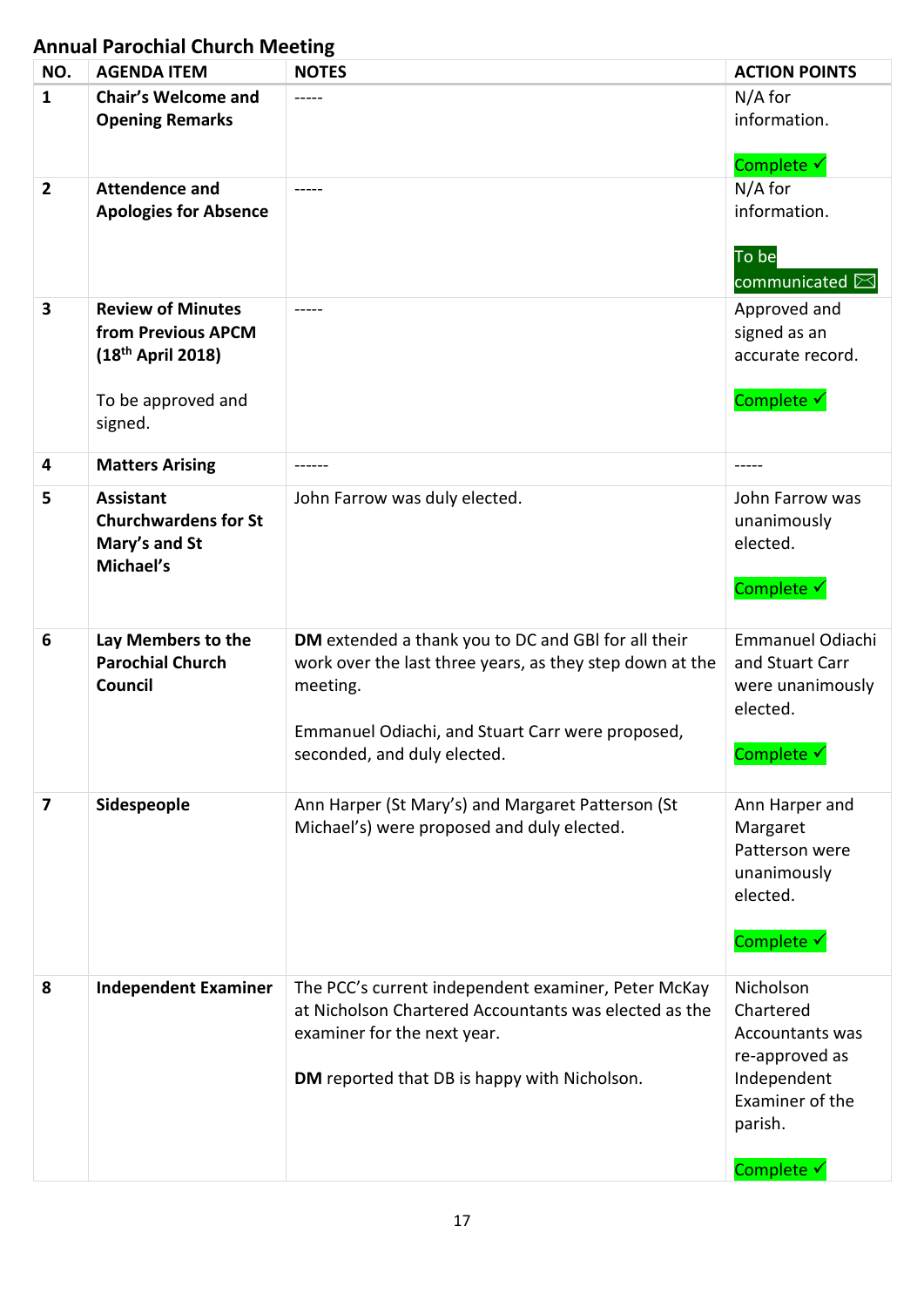# **Annual Parochial Church Meeting**

| NO.            | <b>AGENDA ITEM</b>                                                                                     | <b>NOTES</b>                                                                                                                                                                                                   | <b>ACTION POINTS</b>                                                                                                          |
|----------------|--------------------------------------------------------------------------------------------------------|----------------------------------------------------------------------------------------------------------------------------------------------------------------------------------------------------------------|-------------------------------------------------------------------------------------------------------------------------------|
| $\mathbf{1}$   | <b>Chair's Welcome and</b><br><b>Opening Remarks</b>                                                   | -----                                                                                                                                                                                                          | $N/A$ for<br>information.<br>Complete √                                                                                       |
| $\overline{2}$ | <b>Attendence and</b><br><b>Apologies for Absence</b>                                                  |                                                                                                                                                                                                                | $N/A$ for<br>information.<br>To be<br>communicated $\boxtimes$                                                                |
| 3              | <b>Review of Minutes</b><br>from Previous APCM<br>$(18th$ April 2018)<br>To be approved and<br>signed. |                                                                                                                                                                                                                | Approved and<br>signed as an<br>accurate record.<br>Complete √                                                                |
| 4              | <b>Matters Arising</b>                                                                                 |                                                                                                                                                                                                                | $\frac{1}{2}$                                                                                                                 |
| 5              | <b>Assistant</b><br><b>Churchwardens for St</b><br>Mary's and St<br>Michael's                          | John Farrow was duly elected.                                                                                                                                                                                  | John Farrow was<br>unanimously<br>elected.<br>Complete √                                                                      |
| 6              | Lay Members to the<br><b>Parochial Church</b><br><b>Council</b>                                        | DM extended a thank you to DC and GBI for all their<br>work over the last three years, as they step down at the<br>meeting.<br>Emmanuel Odiachi, and Stuart Carr were proposed,<br>seconded, and duly elected. | Emmanuel Odiachi<br>and Stuart Carr<br>were unanimously<br>elected.<br>Complete √                                             |
| $\overline{7}$ | Sidespeople                                                                                            | Ann Harper (St Mary's) and Margaret Patterson (St<br>Michael's) were proposed and duly elected.                                                                                                                | Ann Harper and<br>Margaret<br>Patterson were<br>unanimously<br>elected.<br>Complete √                                         |
| 8              | <b>Independent Examiner</b>                                                                            | The PCC's current independent examiner, Peter McKay<br>at Nicholson Chartered Accountants was elected as the<br>examiner for the next year.<br>DM reported that DB is happy with Nicholson.                    | Nicholson<br>Chartered<br><b>Accountants was</b><br>re-approved as<br>Independent<br>Examiner of the<br>parish.<br>Complete √ |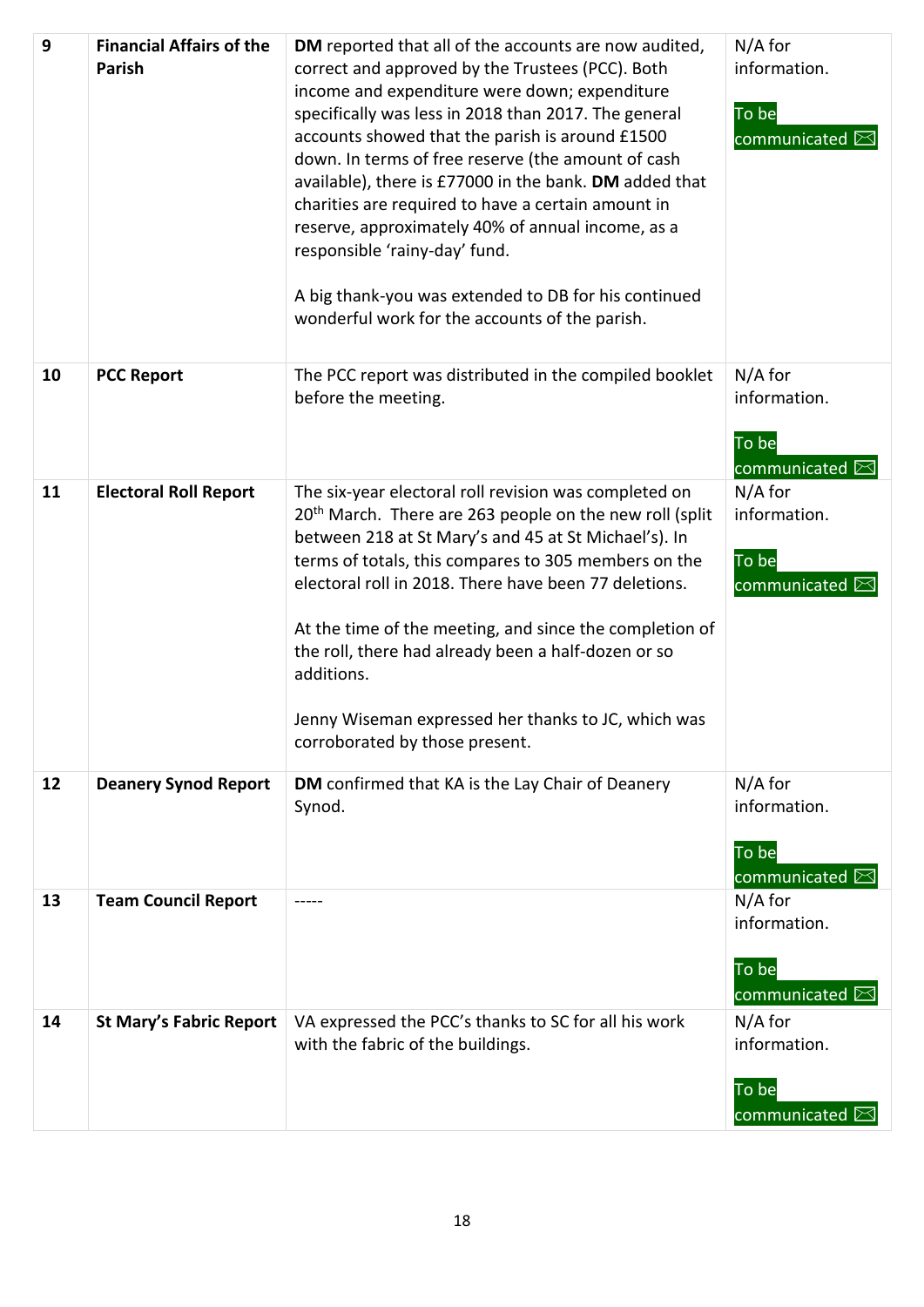| 9  | <b>Financial Affairs of the</b><br><b>Parish</b> | DM reported that all of the accounts are now audited,<br>correct and approved by the Trustees (PCC). Both<br>income and expenditure were down; expenditure<br>specifically was less in 2018 than 2017. The general<br>accounts showed that the parish is around £1500<br>down. In terms of free reserve (the amount of cash<br>available), there is £77000 in the bank. DM added that<br>charities are required to have a certain amount in<br>reserve, approximately 40% of annual income, as a<br>responsible 'rainy-day' fund.<br>A big thank-you was extended to DB for his continued<br>wonderful work for the accounts of the parish. | $N/A$ for<br>information.<br>To be<br>communicated $\boxtimes$ |
|----|--------------------------------------------------|---------------------------------------------------------------------------------------------------------------------------------------------------------------------------------------------------------------------------------------------------------------------------------------------------------------------------------------------------------------------------------------------------------------------------------------------------------------------------------------------------------------------------------------------------------------------------------------------------------------------------------------------|----------------------------------------------------------------|
| 10 | <b>PCC Report</b>                                | The PCC report was distributed in the compiled booklet<br>before the meeting.                                                                                                                                                                                                                                                                                                                                                                                                                                                                                                                                                               | $N/A$ for<br>information.<br>To be<br>communicated $\boxtimes$ |
| 11 | <b>Electoral Roll Report</b>                     | The six-year electoral roll revision was completed on<br>20 <sup>th</sup> March. There are 263 people on the new roll (split<br>between 218 at St Mary's and 45 at St Michael's). In<br>terms of totals, this compares to 305 members on the<br>electoral roll in 2018. There have been 77 deletions.<br>At the time of the meeting, and since the completion of<br>the roll, there had already been a half-dozen or so<br>additions.<br>Jenny Wiseman expressed her thanks to JC, which was<br>corroborated by those present.                                                                                                              | $N/A$ for<br>information.<br>To be<br>communicated $\boxtimes$ |
| 12 | <b>Deanery Synod Report</b>                      | DM confirmed that KA is the Lay Chair of Deanery<br>Synod.                                                                                                                                                                                                                                                                                                                                                                                                                                                                                                                                                                                  | $N/A$ for<br>information.<br>To be<br>communicated $\boxtimes$ |
| 13 | <b>Team Council Report</b>                       |                                                                                                                                                                                                                                                                                                                                                                                                                                                                                                                                                                                                                                             | $N/A$ for<br>information.<br>To be<br>communicated $\boxtimes$ |
| 14 | <b>St Mary's Fabric Report</b>                   | VA expressed the PCC's thanks to SC for all his work<br>with the fabric of the buildings.                                                                                                                                                                                                                                                                                                                                                                                                                                                                                                                                                   | $N/A$ for<br>information.<br>To be<br>communicated $\boxtimes$ |